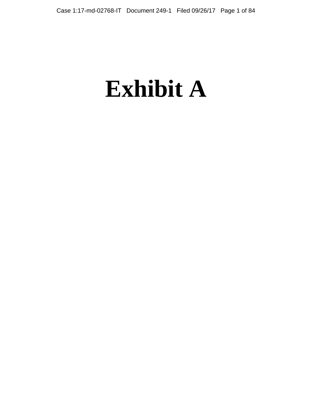# **Exhibit A**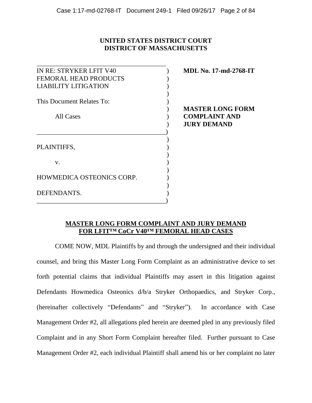# **UNITED STATES DISTRICT COURT DISTRICT OF MASSACHUSETTS**

| IN RE: STRYKER LFIT V40      | <b>MDL No. 17-md-2768-IT</b> |
|------------------------------|------------------------------|
| <b>FEMORAL HEAD PRODUCTS</b> |                              |
| <b>LIABILITY LITIGATION</b>  |                              |
| This Document Relates To:    |                              |
|                              | <b>MASTER LONG FORM</b>      |
| All Cases                    | <b>COMPLAINT AND</b>         |
|                              | <b>JURY DEMAND</b>           |
|                              |                              |
| PLAINTIFFS,                  |                              |
| V.                           |                              |
|                              |                              |
| HOWMEDICA OSTEONICS CORP.    |                              |
| DEFENDANTS.                  |                              |
|                              |                              |

# **MASTER LONG FORM COMPLAINT AND JURY DEMAND FOR LFIT™ CoCr V40™ FEMORAL HEAD CASES**

COME NOW, MDL Plaintiffs by and through the undersigned and their individual counsel, and bring this Master Long Form Complaint as an administrative device to set forth potential claims that individual Plaintiffs may assert in this litigation against Defendants Howmedica Osteonics d/b/a Stryker Orthopaedics, and Stryker Corp., (hereinafter collectively "Defendants" and "Stryker"). In accordance with Case Management Order #2, all allegations pled herein are deemed pled in any previously filed Complaint and in any Short Form Complaint hereafter filed. Further pursuant to Case Management Order #2, each individual Plaintiff shall amend his or her complaint no later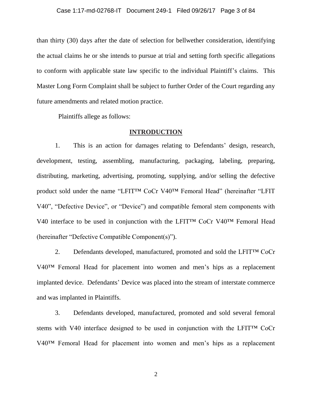than thirty (30) days after the date of selection for bellwether consideration, identifying the actual claims he or she intends to pursue at trial and setting forth specific allegations to conform with applicable state law specific to the individual Plaintiff's claims. This Master Long Form Complaint shall be subject to further Order of the Court regarding any future amendments and related motion practice.

Plaintiffs allege as follows:

# **INTRODUCTION**

1. This is an action for damages relating to Defendants' design, research, development, testing, assembling, manufacturing, packaging, labeling, preparing, distributing, marketing, advertising, promoting, supplying, and/or selling the defective product sold under the name "LFIT™ CoCr V40™ Femoral Head" (hereinafter "LFIT V40", "Defective Device", or "Device") and compatible femoral stem components with V40 interface to be used in conjunction with the LFIT™ CoCr V40™ Femoral Head (hereinafter "Defective Compatible Component(s)").

2. Defendants developed, manufactured, promoted and sold the LFIT™ CoCr V40™ Femoral Head for placement into women and men's hips as a replacement implanted device. Defendants' Device was placed into the stream of interstate commerce and was implanted in Plaintiffs.

3. Defendants developed, manufactured, promoted and sold several femoral stems with V40 interface designed to be used in conjunction with the LFIT™ CoCr V40™ Femoral Head for placement into women and men's hips as a replacement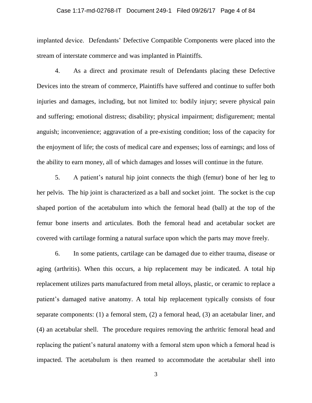#### Case 1:17-md-02768-IT Document 249-1 Filed 09/26/17 Page 4 of 84

implanted device. Defendants' Defective Compatible Components were placed into the stream of interstate commerce and was implanted in Plaintiffs.

4. As a direct and proximate result of Defendants placing these Defective Devices into the stream of commerce, Plaintiffs have suffered and continue to suffer both injuries and damages, including, but not limited to: bodily injury; severe physical pain and suffering; emotional distress; disability; physical impairment; disfigurement; mental anguish; inconvenience; aggravation of a pre-existing condition; loss of the capacity for the enjoyment of life; the costs of medical care and expenses; loss of earnings; and loss of the ability to earn money, all of which damages and losses will continue in the future.

5. A patient's natural hip joint connects the thigh (femur) bone of her leg to her pelvis. The hip joint is characterized as a ball and socket joint. The socket is the cup shaped portion of the acetabulum into which the femoral head (ball) at the top of the femur bone inserts and articulates. Both the femoral head and acetabular socket are covered with cartilage forming a natural surface upon which the parts may move freely.

6. In some patients, cartilage can be damaged due to either trauma, disease or aging (arthritis). When this occurs, a hip replacement may be indicated. A total hip replacement utilizes parts manufactured from metal alloys, plastic, or ceramic to replace a patient's damaged native anatomy. A total hip replacement typically consists of four separate components: (1) a femoral stem, (2) a femoral head, (3) an acetabular liner, and (4) an acetabular shell. The procedure requires removing the arthritic femoral head and replacing the patient's natural anatomy with a femoral stem upon which a femoral head is impacted. The acetabulum is then reamed to accommodate the acetabular shell into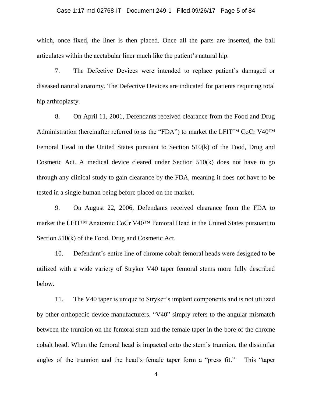#### Case 1:17-md-02768-IT Document 249-1 Filed 09/26/17 Page 5 of 84

which, once fixed, the liner is then placed. Once all the parts are inserted, the ball articulates within the acetabular liner much like the patient's natural hip.

7. The Defective Devices were intended to replace patient's damaged or diseased natural anatomy. The Defective Devices are indicated for patients requiring total hip arthroplasty.

8. On April 11, 2001, Defendants received clearance from the Food and Drug Administration (hereinafter referred to as the "FDA") to market the LFIT™ CoCr V40™ Femoral Head in the United States pursuant to Section 510(k) of the Food, Drug and Cosmetic Act. A medical device cleared under Section 510(k) does not have to go through any clinical study to gain clearance by the FDA, meaning it does not have to be tested in a single human being before placed on the market.

9. On August 22, 2006, Defendants received clearance from the FDA to market the LFIT™ Anatomic CoCr V40™ Femoral Head in the United States pursuant to Section 510(k) of the Food, Drug and Cosmetic Act.

10. Defendant's entire line of chrome cobalt femoral heads were designed to be utilized with a wide variety of Stryker V40 taper femoral stems more fully described below.

11. The V40 taper is unique to Stryker's implant components and is not utilized by other orthopedic device manufacturers. "V40" simply refers to the angular mismatch between the trunnion on the femoral stem and the female taper in the bore of the chrome cobalt head. When the femoral head is impacted onto the stem's trunnion, the dissimilar angles of the trunnion and the head's female taper form a "press fit." This "taper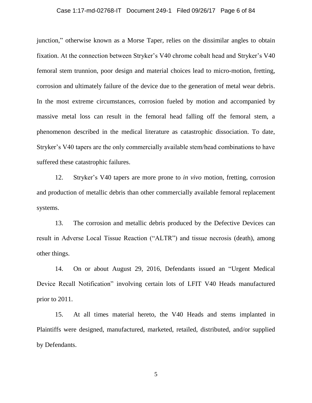#### Case 1:17-md-02768-IT Document 249-1 Filed 09/26/17 Page 6 of 84

junction," otherwise known as a Morse Taper, relies on the dissimilar angles to obtain fixation. At the connection between Stryker's V40 chrome cobalt head and Stryker's V40 femoral stem trunnion, poor design and material choices lead to micro-motion, fretting, corrosion and ultimately failure of the device due to the generation of metal wear debris. In the most extreme circumstances, corrosion fueled by motion and accompanied by massive metal loss can result in the femoral head falling off the femoral stem, a phenomenon described in the medical literature as catastrophic dissociation. To date, Stryker's V40 tapers are the only commercially available stem/head combinations to have suffered these catastrophic failures.

12. Stryker's V40 tapers are more prone to *in vivo* motion, fretting, corrosion and production of metallic debris than other commercially available femoral replacement systems.

13. The corrosion and metallic debris produced by the Defective Devices can result in Adverse Local Tissue Reaction ("ALTR") and tissue necrosis (death), among other things.

14. On or about August 29, 2016, Defendants issued an "Urgent Medical Device Recall Notification" involving certain lots of LFIT V40 Heads manufactured prior to 2011.

15. At all times material hereto, the V40 Heads and stems implanted in Plaintiffs were designed, manufactured, marketed, retailed, distributed, and/or supplied by Defendants.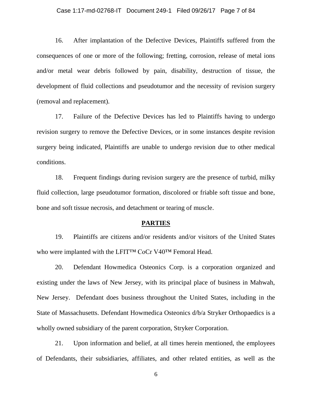#### Case 1:17-md-02768-IT Document 249-1 Filed 09/26/17 Page 7 of 84

16. After implantation of the Defective Devices, Plaintiffs suffered from the consequences of one or more of the following; fretting, corrosion, release of metal ions and/or metal wear debris followed by pain, disability, destruction of tissue, the development of fluid collections and pseudotumor and the necessity of revision surgery (removal and replacement).

17. Failure of the Defective Devices has led to Plaintiffs having to undergo revision surgery to remove the Defective Devices, or in some instances despite revision surgery being indicated, Plaintiffs are unable to undergo revision due to other medical conditions.

18. Frequent findings during revision surgery are the presence of turbid, milky fluid collection, large pseudotumor formation, discolored or friable soft tissue and bone, bone and soft tissue necrosis, and detachment or tearing of muscle.

#### **PARTIES**

19. Plaintiffs are citizens and/or residents and/or visitors of the United States who were implanted with the LFIT™ CoCr V40™ Femoral Head.

20. Defendant Howmedica Osteonics Corp. is a corporation organized and existing under the laws of New Jersey, with its principal place of business in Mahwah, New Jersey. Defendant does business throughout the United States, including in the State of Massachusetts. Defendant Howmedica Osteonics d/b/a Stryker Orthopaedics is a wholly owned subsidiary of the parent corporation, Stryker Corporation.

21. Upon information and belief, at all times herein mentioned, the employees of Defendants, their subsidiaries, affiliates, and other related entities, as well as the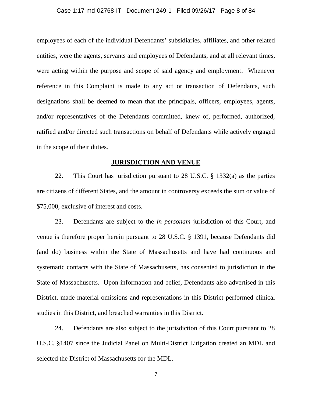#### Case 1:17-md-02768-IT Document 249-1 Filed 09/26/17 Page 8 of 84

employees of each of the individual Defendants' subsidiaries, affiliates, and other related entities, were the agents, servants and employees of Defendants, and at all relevant times, were acting within the purpose and scope of said agency and employment. Whenever reference in this Complaint is made to any act or transaction of Defendants, such designations shall be deemed to mean that the principals, officers, employees, agents, and/or representatives of the Defendants committed, knew of, performed, authorized, ratified and/or directed such transactions on behalf of Defendants while actively engaged in the scope of their duties.

# **JURISDICTION AND VENUE**

22. This Court has jurisdiction pursuant to 28 U.S.C. § 1332(a) as the parties are citizens of different States, and the amount in controversy exceeds the sum or value of \$75,000, exclusive of interest and costs.

23. Defendants are subject to the *in personam* jurisdiction of this Court, and venue is therefore proper herein pursuant to 28 U.S.C. § 1391, because Defendants did (and do) business within the State of Massachusetts and have had continuous and systematic contacts with the State of Massachusetts, has consented to jurisdiction in the State of Massachusetts. Upon information and belief, Defendants also advertised in this District, made material omissions and representations in this District performed clinical studies in this District, and breached warranties in this District.

24. Defendants are also subject to the jurisdiction of this Court pursuant to 28 U.S.C. §1407 since the Judicial Panel on Multi-District Litigation created an MDL and selected the District of Massachusetts for the MDL.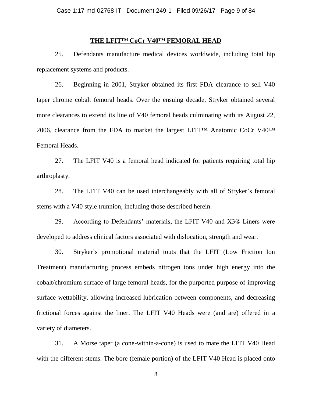## **THE LFIT™ CoCr V40™ FEMORAL HEAD**

25. Defendants manufacture medical devices worldwide, including total hip replacement systems and products.

26. Beginning in 2001, Stryker obtained its first FDA clearance to sell V40 taper chrome cobalt femoral heads. Over the ensuing decade, Stryker obtained several more clearances to extend its line of V40 femoral heads culminating with its August 22, 2006, clearance from the FDA to market the largest LFIT™ Anatomic CoCr V40™ Femoral Heads.

27. The LFIT V40 is a femoral head indicated for patients requiring total hip arthroplasty.

28. The LFIT V40 can be used interchangeably with all of Stryker's femoral stems with a V40 style trunnion, including those described herein.

29. According to Defendants' materials, the LFIT V40 and X3® Liners were developed to address clinical factors associated with dislocation, strength and wear.

30. Stryker's promotional material touts that the LFIT (Low Friction Ion Treatment) manufacturing process embeds nitrogen ions under high energy into the cobalt/chromium surface of large femoral heads, for the purported purpose of improving surface wettability, allowing increased lubrication between components, and decreasing frictional forces against the liner. The LFIT V40 Heads were (and are) offered in a variety of diameters.

31. A Morse taper (a cone-within-a-cone) is used to mate the LFIT V40 Head with the different stems. The bore (female portion) of the LFIT V40 Head is placed onto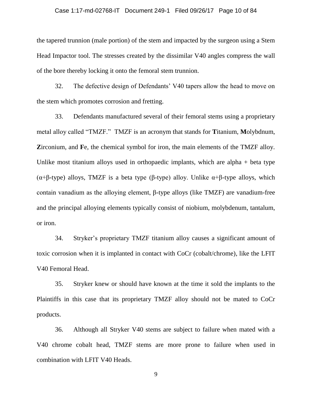#### Case 1:17-md-02768-IT Document 249-1 Filed 09/26/17 Page 10 of 84

the tapered trunnion (male portion) of the stem and impacted by the surgeon using a Stem Head Impactor tool. The stresses created by the dissimilar V40 angles compress the wall of the bore thereby locking it onto the femoral stem trunnion.

32. The defective design of Defendants' V40 tapers allow the head to move on the stem which promotes corrosion and fretting.

33. Defendants manufactured several of their femoral stems using a proprietary metal alloy called "TMZF." TMZF is an acronym that stands for **T**itanium, **M**olybdnum, **Z**irconium, and **F**e, the chemical symbol for iron, the main elements of the TMZF alloy. Unlike most titanium alloys used in orthopaedic implants, which are alpha  $+$  beta type (α+β-type) alloys, TMZF is a beta type (β-type) alloy. Unlike α+β-type alloys, which contain vanadium as the alloying element, β-type alloys (like TMZF) are vanadium-free and the principal alloying elements typically consist of niobium, molybdenum, tantalum, or iron.

34. Stryker's proprietary TMZF titanium alloy causes a significant amount of toxic corrosion when it is implanted in contact with CoCr (cobalt/chrome), like the LFIT V40 Femoral Head.

35. Stryker knew or should have known at the time it sold the implants to the Plaintiffs in this case that its proprietary TMZF alloy should not be mated to CoCr products.

36. Although all Stryker V40 stems are subject to failure when mated with a V40 chrome cobalt head, TMZF stems are more prone to failure when used in combination with LFIT V40 Heads.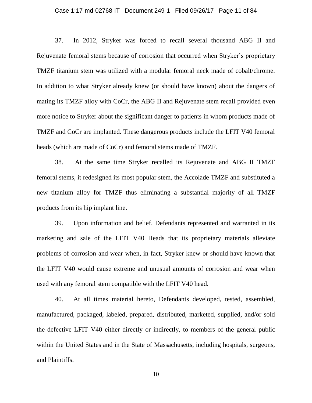#### Case 1:17-md-02768-IT Document 249-1 Filed 09/26/17 Page 11 of 84

37. In 2012, Stryker was forced to recall several thousand ABG II and Rejuvenate femoral stems because of corrosion that occurred when Stryker's proprietary TMZF titanium stem was utilized with a modular femoral neck made of cobalt/chrome. In addition to what Stryker already knew (or should have known) about the dangers of mating its TMZF alloy with CoCr, the ABG II and Rejuvenate stem recall provided even more notice to Stryker about the significant danger to patients in whom products made of TMZF and CoCr are implanted. These dangerous products include the LFIT V40 femoral heads (which are made of CoCr) and femoral stems made of TMZF.

38. At the same time Stryker recalled its Rejuvenate and ABG II TMZF femoral stems, it redesigned its most popular stem, the Accolade TMZF and substituted a new titanium alloy for TMZF thus eliminating a substantial majority of all TMZF products from its hip implant line.

39. Upon information and belief, Defendants represented and warranted in its marketing and sale of the LFIT V40 Heads that its proprietary materials alleviate problems of corrosion and wear when, in fact, Stryker knew or should have known that the LFIT V40 would cause extreme and unusual amounts of corrosion and wear when used with any femoral stem compatible with the LFIT V40 head.

40. At all times material hereto, Defendants developed, tested, assembled, manufactured, packaged, labeled, prepared, distributed, marketed, supplied, and/or sold the defective LFIT V40 either directly or indirectly, to members of the general public within the United States and in the State of Massachusetts, including hospitals, surgeons, and Plaintiffs.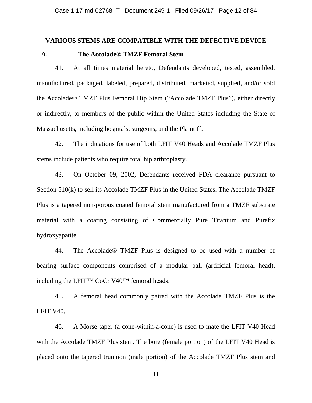## **VARIOUS STEMS ARE COMPATIBLE WITH THE DEFECTIVE DEVICE**

## **A. The Accolade® TMZF Femoral Stem**

41. At all times material hereto, Defendants developed, tested, assembled, manufactured, packaged, labeled, prepared, distributed, marketed, supplied, and/or sold the Accolade® TMZF Plus Femoral Hip Stem ("Accolade TMZF Plus"), either directly or indirectly, to members of the public within the United States including the State of Massachusetts, including hospitals, surgeons, and the Plaintiff.

42. The indications for use of both LFIT V40 Heads and Accolade TMZF Plus stems include patients who require total hip arthroplasty.

43. On October 09, 2002, Defendants received FDA clearance pursuant to Section 510(k) to sell its Accolade TMZF Plus in the United States. The Accolade TMZF Plus is a tapered non-porous coated femoral stem manufactured from a TMZF substrate material with a coating consisting of Commercially Pure Titanium and Purefix hydroxyapatite.

44. The Accolade® TMZF Plus is designed to be used with a number of bearing surface components comprised of a modular ball (artificial femoral head), including the LFIT™ CoCr V40™ femoral heads.

45. A femoral head commonly paired with the Accolade TMZF Plus is the LFIT V40.

46. A Morse taper (a cone-within-a-cone) is used to mate the LFIT V40 Head with the Accolade TMZF Plus stem. The bore (female portion) of the LFIT V40 Head is placed onto the tapered trunnion (male portion) of the Accolade TMZF Plus stem and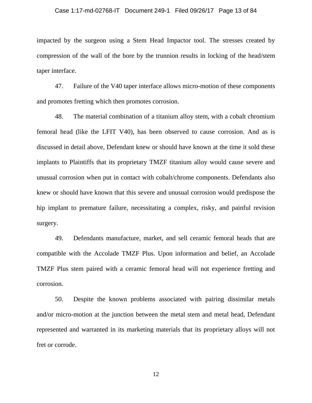#### Case 1:17-md-02768-IT Document 249-1 Filed 09/26/17 Page 13 of 84

impacted by the surgeon using a Stem Head Impactor tool. The stresses created by compression of the wall of the bore by the trunnion results in locking of the head/stem taper interface.

47. Failure of the V40 taper interface allows micro-motion of these components and promotes fretting which then promotes corrosion.

48. The material combination of a titanium alloy stem, with a cobalt chromium femoral head (like the LFIT V40), has been observed to cause corrosion. And as is discussed in detail above, Defendant knew or should have known at the time it sold these implants to Plaintiffs that its proprietary TMZF titanium alloy would cause severe and unusual corrosion when put in contact with cobalt/chrome components. Defendants also knew or should have known that this severe and unusual corrosion would predispose the hip implant to premature failure, necessitating a complex, risky, and painful revision surgery.

49. Defendants manufacture, market, and sell ceramic femoral heads that are compatible with the Accolade TMZF Plus. Upon information and belief, an Accolade TMZF Plus stem paired with a ceramic femoral head will not experience fretting and corrosion.

50. Despite the known problems associated with pairing dissimilar metals and/or micro-motion at the junction between the metal stem and metal head, Defendant represented and warranted in its marketing materials that its proprietary alloys will not fret or corrode.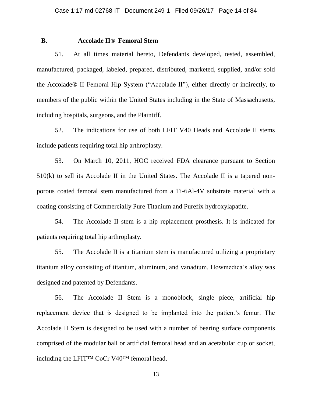# **B. Accolade II® Femoral Stem**

51. At all times material hereto, Defendants developed, tested, assembled, manufactured, packaged, labeled, prepared, distributed, marketed, supplied, and/or sold the Accolade® II Femoral Hip System ("Accolade II"), either directly or indirectly, to members of the public within the United States including in the State of Massachusetts, including hospitals, surgeons, and the Plaintiff.

52. The indications for use of both LFIT V40 Heads and Accolade II stems include patients requiring total hip arthroplasty.

53. On March 10, 2011, HOC received FDA clearance pursuant to Section 510(k) to sell its Accolade II in the United States. The Accolade II is a tapered nonporous coated femoral stem manufactured from a Ti-6Al-4V substrate material with a coating consisting of Commercially Pure Titanium and Purefix hydroxylapatite.

54. The Accolade II stem is a hip replacement prosthesis. It is indicated for patients requiring total hip arthroplasty.

55. The Accolade II is a titanium stem is manufactured utilizing a proprietary titanium alloy consisting of titanium, aluminum, and vanadium. Howmedica's alloy was designed and patented by Defendants.

56. The Accolade II Stem is a monoblock, single piece, artificial hip replacement device that is designed to be implanted into the patient's femur. The Accolade II Stem is designed to be used with a number of bearing surface components comprised of the modular ball or artificial femoral head and an acetabular cup or socket, including the LFIT™ CoCr V40™ femoral head.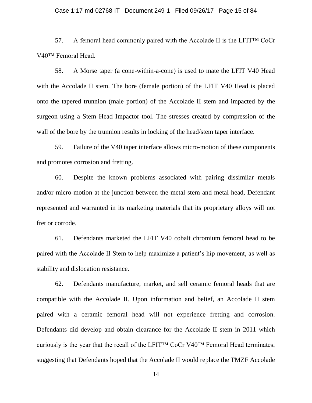#### Case 1:17-md-02768-IT Document 249-1 Filed 09/26/17 Page 15 of 84

57. A femoral head commonly paired with the Accolade II is the LFIT<sup>™</sup> CoCr V40™ Femoral Head.

58. A Morse taper (a cone-within-a-cone) is used to mate the LFIT V40 Head with the Accolade II stem. The bore (female portion) of the LFIT V40 Head is placed onto the tapered trunnion (male portion) of the Accolade II stem and impacted by the surgeon using a Stem Head Impactor tool. The stresses created by compression of the wall of the bore by the trunnion results in locking of the head/stem taper interface.

59. Failure of the V40 taper interface allows micro-motion of these components and promotes corrosion and fretting.

60. Despite the known problems associated with pairing dissimilar metals and/or micro-motion at the junction between the metal stem and metal head, Defendant represented and warranted in its marketing materials that its proprietary alloys will not fret or corrode.

61. Defendants marketed the LFIT V40 cobalt chromium femoral head to be paired with the Accolade II Stem to help maximize a patient's hip movement, as well as stability and dislocation resistance.

62. Defendants manufacture, market, and sell ceramic femoral heads that are compatible with the Accolade II. Upon information and belief, an Accolade II stem paired with a ceramic femoral head will not experience fretting and corrosion. Defendants did develop and obtain clearance for the Accolade II stem in 2011 which curiously is the year that the recall of the LFIT<sup>TM</sup> CoCr V40<sup>TM</sup> Femoral Head terminates, suggesting that Defendants hoped that the Accolade II would replace the TMZF Accolade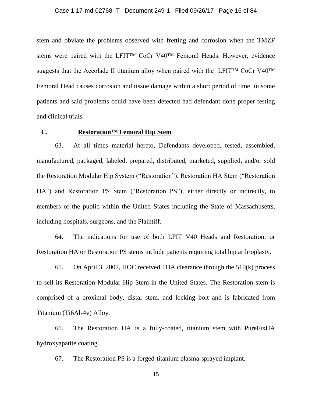stem and obviate the problems observed with fretting and corrosion when the TMZF stems were paired with the LFIT™ CoCr V40™ Femoral Heads. However, evidence suggests that the Accolade II titanium alloy when paired with the LFIT™ CoCr V40<sup>™</sup> Femoral Head causes corrosion and tissue damage within a short period of time in some patients and said problems could have been detected had defendant done proper testing and clinical trials.

# **C. Restoration™ Femoral Hip Stem**

63. At all times material hereto, Defendants developed, tested, assembled, manufactured, packaged, labeled, prepared, distributed, marketed, supplied, and/or sold the Restoration Modular Hip System ("Restoration"), Restoration HA Stem ("Restoration HA") and Restoration PS Stem ("Restoration PS"), either directly or indirectly, to members of the public within the United States including the State of Massachusetts, including hospitals, surgeons, and the Plaintiff.

64. The indications for use of both LFIT V40 Heads and Restoration, or Restoration HA or Restoration PS stems include patients requiring total hip arthroplasty.

65. On April 3, 2002, HOC received FDA clearance through the 510(k) process to sell its Restoration Modular Hip Stem in the United States. The Restoration stem is comprised of a proximal body, distal stem, and locking bolt and is fabricated from Titanium (Ti6Al-4v) Alloy.

66. The Restoration HA is a fully-coated, titanium stem with PureFixHA hydroxyapatite coating.

67. The Restoration PS is a forged-titanium plasma-sprayed implant.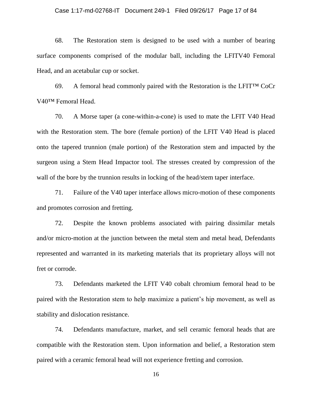#### Case 1:17-md-02768-IT Document 249-1 Filed 09/26/17 Page 17 of 84

68. The Restoration stem is designed to be used with a number of bearing surface components comprised of the modular ball, including the LFITV40 Femoral Head, and an acetabular cup or socket.

69. A femoral head commonly paired with the Restoration is the LFIT™ CoCr V40™ Femoral Head.

70. A Morse taper (a cone-within-a-cone) is used to mate the LFIT V40 Head with the Restoration stem. The bore (female portion) of the LFIT V40 Head is placed onto the tapered trunnion (male portion) of the Restoration stem and impacted by the surgeon using a Stem Head Impactor tool. The stresses created by compression of the wall of the bore by the trunnion results in locking of the head/stem taper interface.

71. Failure of the V40 taper interface allows micro-motion of these components and promotes corrosion and fretting.

72. Despite the known problems associated with pairing dissimilar metals and/or micro-motion at the junction between the metal stem and metal head, Defendants represented and warranted in its marketing materials that its proprietary alloys will not fret or corrode.

73. Defendants marketed the LFIT V40 cobalt chromium femoral head to be paired with the Restoration stem to help maximize a patient's hip movement, as well as stability and dislocation resistance.

74. Defendants manufacture, market, and sell ceramic femoral heads that are compatible with the Restoration stem. Upon information and belief, a Restoration stem paired with a ceramic femoral head will not experience fretting and corrosion.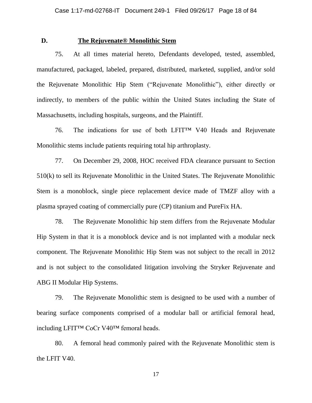## **D. The Rejuvenate® Monolithic Stem**

75. At all times material hereto, Defendants developed, tested, assembled, manufactured, packaged, labeled, prepared, distributed, marketed, supplied, and/or sold the Rejuvenate Monolithic Hip Stem ("Rejuvenate Monolithic"), either directly or indirectly, to members of the public within the United States including the State of Massachusetts, including hospitals, surgeons, and the Plaintiff.

76. The indications for use of both LFIT™ V40 Heads and Rejuvenate Monolithic stems include patients requiring total hip arthroplasty.

77. On December 29, 2008, HOC received FDA clearance pursuant to Section 510(k) to sell its Rejuvenate Monolithic in the United States. The Rejuvenate Monolithic Stem is a monoblock, single piece replacement device made of TMZF alloy with a plasma sprayed coating of commercially pure (CP) titanium and PureFix HA.

78. The Rejuvenate Monolithic hip stem differs from the Rejuvenate Modular Hip System in that it is a monoblock device and is not implanted with a modular neck component. The Rejuvenate Monolithic Hip Stem was not subject to the recall in 2012 and is not subject to the consolidated litigation involving the Stryker Rejuvenate and ABG II Modular Hip Systems.

79. The Rejuvenate Monolithic stem is designed to be used with a number of bearing surface components comprised of a modular ball or artificial femoral head, including LFIT™ CoCr V40™ femoral heads.

80. A femoral head commonly paired with the Rejuvenate Monolithic stem is the LFIT V40.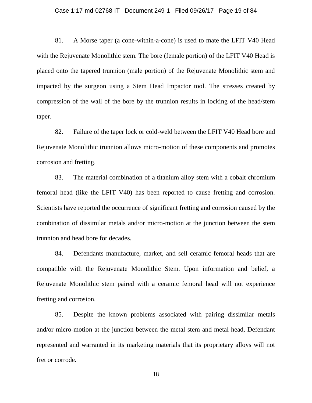#### Case 1:17-md-02768-IT Document 249-1 Filed 09/26/17 Page 19 of 84

81. A Morse taper (a cone-within-a-cone) is used to mate the LFIT V40 Head with the Rejuvenate Monolithic stem. The bore (female portion) of the LFIT V40 Head is placed onto the tapered trunnion (male portion) of the Rejuvenate Monolithic stem and impacted by the surgeon using a Stem Head Impactor tool. The stresses created by compression of the wall of the bore by the trunnion results in locking of the head/stem taper.

82. Failure of the taper lock or cold-weld between the LFIT V40 Head bore and Rejuvenate Monolithic trunnion allows micro-motion of these components and promotes corrosion and fretting.

83. The material combination of a titanium alloy stem with a cobalt chromium femoral head (like the LFIT V40) has been reported to cause fretting and corrosion. Scientists have reported the occurrence of significant fretting and corrosion caused by the combination of dissimilar metals and/or micro-motion at the junction between the stem trunnion and head bore for decades.

84. Defendants manufacture, market, and sell ceramic femoral heads that are compatible with the Rejuvenate Monolithic Stem. Upon information and belief, a Rejuvenate Monolithic stem paired with a ceramic femoral head will not experience fretting and corrosion.

85. Despite the known problems associated with pairing dissimilar metals and/or micro-motion at the junction between the metal stem and metal head, Defendant represented and warranted in its marketing materials that its proprietary alloys will not fret or corrode.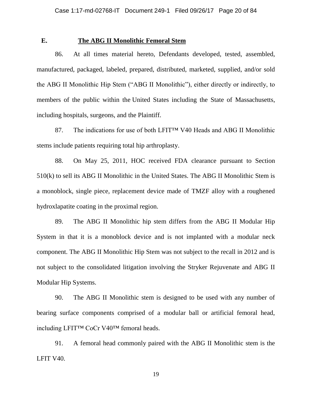# **E. The ABG II Monolithic Femoral Stem**

86. At all times material hereto, Defendants developed, tested, assembled, manufactured, packaged, labeled, prepared, distributed, marketed, supplied, and/or sold the ABG II Monolithic Hip Stem ("ABG II Monolithic"), either directly or indirectly, to members of the public within the United States including the State of Massachusetts, including hospitals, surgeons, and the Plaintiff.

87. The indications for use of both LFIT<sup>TM</sup> V40 Heads and ABG II Monolithic stems include patients requiring total hip arthroplasty.

88. On May 25, 2011, HOC received FDA clearance pursuant to Section 510(k) to sell its ABG II Monolithic in the United States. The ABG II Monolithic Stem is a monoblock, single piece, replacement device made of TMZF alloy with a roughened hydroxlapatite coating in the proximal region.

89. The ABG II Monolithic hip stem differs from the ABG II Modular Hip System in that it is a monoblock device and is not implanted with a modular neck component. The ABG II Monolithic Hip Stem was not subject to the recall in 2012 and is not subject to the consolidated litigation involving the Stryker Rejuvenate and ABG II Modular Hip Systems.

90. The ABG II Monolithic stem is designed to be used with any number of bearing surface components comprised of a modular ball or artificial femoral head, including LFIT™ CoCr V40™ femoral heads.

91. A femoral head commonly paired with the ABG II Monolithic stem is the LFIT V40.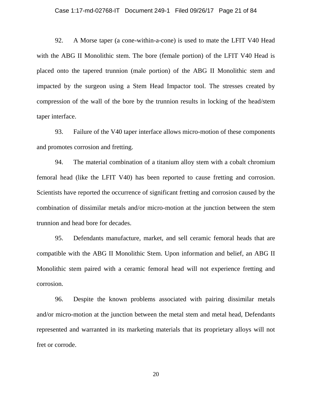#### Case 1:17-md-02768-IT Document 249-1 Filed 09/26/17 Page 21 of 84

92. A Morse taper (a cone-within-a-cone) is used to mate the LFIT V40 Head with the ABG II Monolithic stem. The bore (female portion) of the LFIT V40 Head is placed onto the tapered trunnion (male portion) of the ABG II Monolithic stem and impacted by the surgeon using a Stem Head Impactor tool. The stresses created by compression of the wall of the bore by the trunnion results in locking of the head/stem taper interface.

93. Failure of the V40 taper interface allows micro-motion of these components and promotes corrosion and fretting.

94. The material combination of a titanium alloy stem with a cobalt chromium femoral head (like the LFIT V40) has been reported to cause fretting and corrosion. Scientists have reported the occurrence of significant fretting and corrosion caused by the combination of dissimilar metals and/or micro-motion at the junction between the stem trunnion and head bore for decades.

95. Defendants manufacture, market, and sell ceramic femoral heads that are compatible with the ABG II Monolithic Stem. Upon information and belief, an ABG II Monolithic stem paired with a ceramic femoral head will not experience fretting and corrosion.

96. Despite the known problems associated with pairing dissimilar metals and/or micro-motion at the junction between the metal stem and metal head, Defendants represented and warranted in its marketing materials that its proprietary alloys will not fret or corrode.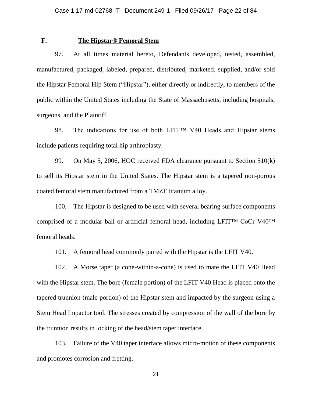# **F. The Hipstar® Femoral Stem**

97. At all times material hereto, Defendants developed, tested, assembled, manufactured, packaged, labeled, prepared, distributed, marketed, supplied, and/or sold the Hipstar Femoral Hip Stem ("Hipstar"), either directly or indirectly, to members of the public within the United States including the State of Massachusetts, including hospitals, surgeons, and the Plaintiff.

98. The indications for use of both LFIT™ V40 Heads and Hipstar stems include patients requiring total hip arthroplasty.

99. On May 5, 2006, HOC received FDA clearance pursuant to Section 510(k) to sell its Hipstar stem in the United States. The Hipstar stem is a tapered non-porous coated femoral stem manufactured from a TMZF titanium alloy.

100. The Hipstar is designed to be used with several bearing surface components comprised of a modular ball or artificial femoral head, including LFIT™ CoCr V40™ femoral heads.

101. A femoral head commonly paired with the Hipstar is the LFIT V40.

102. A Morse taper (a cone-within-a-cone) is used to mate the LFIT V40 Head with the Hipstar stem. The bore (female portion) of the LFIT V40 Head is placed onto the tapered trunnion (male portion) of the Hipstar stem and impacted by the surgeon using a Stem Head Impactor tool. The stresses created by compression of the wall of the bore by the trunnion results in locking of the head/stem taper interface.

103. Failure of the V40 taper interface allows micro-motion of these components and promotes corrosion and fretting.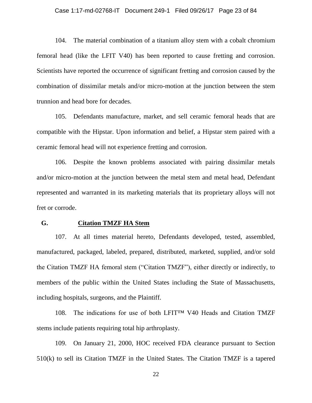#### Case 1:17-md-02768-IT Document 249-1 Filed 09/26/17 Page 23 of 84

104. The material combination of a titanium alloy stem with a cobalt chromium femoral head (like the LFIT V40) has been reported to cause fretting and corrosion. Scientists have reported the occurrence of significant fretting and corrosion caused by the combination of dissimilar metals and/or micro-motion at the junction between the stem trunnion and head bore for decades.

105. Defendants manufacture, market, and sell ceramic femoral heads that are compatible with the Hipstar. Upon information and belief, a Hipstar stem paired with a ceramic femoral head will not experience fretting and corrosion.

106. Despite the known problems associated with pairing dissimilar metals and/or micro-motion at the junction between the metal stem and metal head, Defendant represented and warranted in its marketing materials that its proprietary alloys will not fret or corrode.

## **G. Citation TMZF HA Stem**

107. At all times material hereto, Defendants developed, tested, assembled, manufactured, packaged, labeled, prepared, distributed, marketed, supplied, and/or sold the Citation TMZF HA femoral stem ("Citation TMZF"), either directly or indirectly, to members of the public within the United States including the State of Massachusetts, including hospitals, surgeons, and the Plaintiff.

108. The indications for use of both LFIT™ V40 Heads and Citation TMZF stems include patients requiring total hip arthroplasty.

109. On January 21, 2000, HOC received FDA clearance pursuant to Section 510(k) to sell its Citation TMZF in the United States. The Citation TMZF is a tapered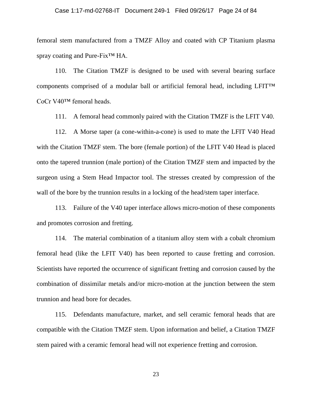#### Case 1:17-md-02768-IT Document 249-1 Filed 09/26/17 Page 24 of 84

femoral stem manufactured from a TMZF Alloy and coated with CP Titanium plasma spray coating and Pure-Fix<sup>™</sup> HA.

110. The Citation TMZF is designed to be used with several bearing surface components comprised of a modular ball or artificial femoral head, including LFIT™ CoCr V40™ femoral heads.

111. A femoral head commonly paired with the Citation TMZF is the LFIT V40.

112. A Morse taper (a cone-within-a-cone) is used to mate the LFIT V40 Head with the Citation TMZF stem. The bore (female portion) of the LFIT V40 Head is placed onto the tapered trunnion (male portion) of the Citation TMZF stem and impacted by the surgeon using a Stem Head Impactor tool. The stresses created by compression of the wall of the bore by the trunnion results in a locking of the head/stem taper interface.

113. Failure of the V40 taper interface allows micro-motion of these components and promotes corrosion and fretting.

114. The material combination of a titanium alloy stem with a cobalt chromium femoral head (like the LFIT V40) has been reported to cause fretting and corrosion. Scientists have reported the occurrence of significant fretting and corrosion caused by the combination of dissimilar metals and/or micro-motion at the junction between the stem trunnion and head bore for decades.

115. Defendants manufacture, market, and sell ceramic femoral heads that are compatible with the Citation TMZF stem. Upon information and belief, a Citation TMZF stem paired with a ceramic femoral head will not experience fretting and corrosion.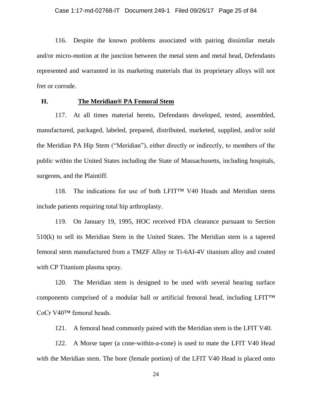116. Despite the known problems associated with pairing dissimilar metals and/or micro-motion at the junction between the metal stem and metal head, Defendants represented and warranted in its marketing materials that its proprietary alloys will not fret or corrode.

## **H. The Meridian® PA Femoral Stem**

117. At all times material hereto, Defendants developed, tested, assembled, manufactured, packaged, labeled, prepared, distributed, marketed, supplied, and/or sold the Meridian PA Hip Stem ("Meridian"), either directly or indirectly, to members of the public within the United States including the State of Massachusetts, including hospitals, surgeons, and the Plaintiff.

118. The indications for use of both LFIT™ V40 Heads and Meridian stems include patients requiring total hip arthroplasty.

119. On January 19, 1995, HOC received FDA clearance pursuant to Section 510(k) to sell its Meridian Stem in the United States. The Meridian stem is a tapered femoral stem manufactured from a TMZF Alloy or Ti-6AI-4V titanium alloy and coated with CP Titanium plasma spray.

120. The Meridian stem is designed to be used with several bearing surface components comprised of a modular ball or artificial femoral head, including LFIT™ CoCr V40™ femoral heads.

121. A femoral head commonly paired with the Meridian stem is the LFIT V40.

122. A Morse taper (a cone-within-a-cone) is used to mate the LFIT V40 Head with the Meridian stem. The bore (female portion) of the LFIT V40 Head is placed onto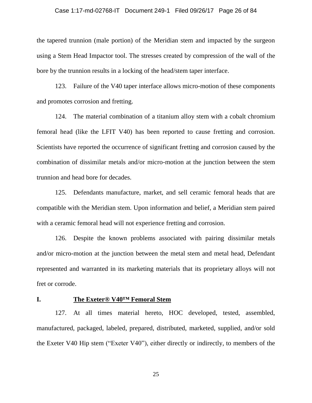#### Case 1:17-md-02768-IT Document 249-1 Filed 09/26/17 Page 26 of 84

the tapered trunnion (male portion) of the Meridian stem and impacted by the surgeon using a Stem Head Impactor tool. The stresses created by compression of the wall of the bore by the trunnion results in a locking of the head/stem taper interface.

123. Failure of the V40 taper interface allows micro-motion of these components and promotes corrosion and fretting.

124. The material combination of a titanium alloy stem with a cobalt chromium femoral head (like the LFIT V40) has been reported to cause fretting and corrosion. Scientists have reported the occurrence of significant fretting and corrosion caused by the combination of dissimilar metals and/or micro-motion at the junction between the stem trunnion and head bore for decades.

125. Defendants manufacture, market, and sell ceramic femoral heads that are compatible with the Meridian stem. Upon information and belief, a Meridian stem paired with a ceramic femoral head will not experience fretting and corrosion.

126. Despite the known problems associated with pairing dissimilar metals and/or micro-motion at the junction between the metal stem and metal head, Defendant represented and warranted in its marketing materials that its proprietary alloys will not fret or corrode.

## **I. The Exeter® V40™ Femoral Stem**

127. At all times material hereto, HOC developed, tested, assembled, manufactured, packaged, labeled, prepared, distributed, marketed, supplied, and/or sold the Exeter V40 Hip stem ("Exeter V40"), either directly or indirectly, to members of the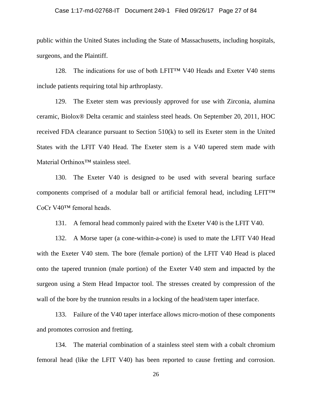#### Case 1:17-md-02768-IT Document 249-1 Filed 09/26/17 Page 27 of 84

public within the United States including the State of Massachusetts, including hospitals, surgeons, and the Plaintiff.

128. The indications for use of both LFIT<sup> $TM$ </sup> V40 Heads and Exeter V40 stems include patients requiring total hip arthroplasty.

129. The Exeter stem was previously approved for use with Zirconia, alumina ceramic, Biolox® Delta ceramic and stainless steel heads. On September 20, 2011, HOC received FDA clearance pursuant to Section 510(k) to sell its Exeter stem in the United States with the LFIT V40 Head. The Exeter stem is a V40 tapered stem made with Material Orthinox™ stainless steel.

130. The Exeter V40 is designed to be used with several bearing surface components comprised of a modular ball or artificial femoral head, including LFIT™ CoCr V40™ femoral heads.

131. A femoral head commonly paired with the Exeter V40 is the LFIT V40.

132. A Morse taper (a cone-within-a-cone) is used to mate the LFIT V40 Head with the Exeter V40 stem. The bore (female portion) of the LFIT V40 Head is placed onto the tapered trunnion (male portion) of the Exeter V40 stem and impacted by the surgeon using a Stem Head Impactor tool. The stresses created by compression of the wall of the bore by the trunnion results in a locking of the head/stem taper interface.

133. Failure of the V40 taper interface allows micro-motion of these components and promotes corrosion and fretting.

134. The material combination of a stainless steel stem with a cobalt chromium femoral head (like the LFIT V40) has been reported to cause fretting and corrosion.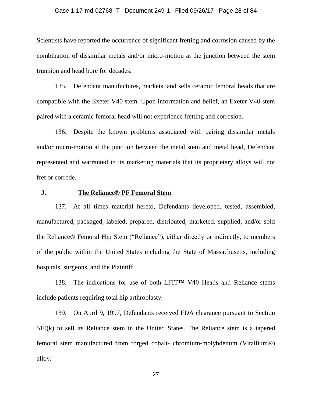#### Case 1:17-md-02768-IT Document 249-1 Filed 09/26/17 Page 28 of 84

Scientists have reported the occurrence of significant fretting and corrosion caused by the combination of dissimilar metals and/or micro-motion at the junction between the stem trunnion and head bore for decades.

135. Defendant manufactures, markets, and sells ceramic femoral heads that are compatible with the Exeter V40 stem. Upon information and belief, an Exeter V40 stem paired with a ceramic femoral head will not experience fretting and corrosion.

136. Despite the known problems associated with pairing dissimilar metals and/or micro-motion at the junction between the metal stem and metal head, Defendant represented and warranted in its marketing materials that its proprietary alloys will not fret or corrode.

## **J. The Reliance® PF Femoral Stem**

137. At all times material hereto, Defendants developed, tested, assembled, manufactured, packaged, labeled, prepared, distributed, marketed, supplied, and/or sold the Reliance® Femoral Hip Stem ("Reliance"), either directly or indirectly, to members of the public within the United States including the State of Massachusetts, including hospitals, surgeons, and the Plaintiff.

138. The indications for use of both LFIT™ V40 Heads and Reliance stems include patients requiring total hip arthroplasty.

139. On April 9, 1997, Defendants received FDA clearance pursuant to Section 510(k) to sell its Reliance stem in the United States. The Reliance stem is a tapered femoral stem manufactured from forged cobalt- chromium-molybdenum (Vitallium®) alloy.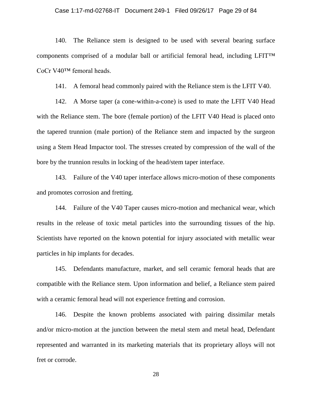#### Case 1:17-md-02768-IT Document 249-1 Filed 09/26/17 Page 29 of 84

140. The Reliance stem is designed to be used with several bearing surface components comprised of a modular ball or artificial femoral head, including LFIT™ CoCr V40™ femoral heads.

141. A femoral head commonly paired with the Reliance stem is the LFIT V40.

142. A Morse taper (a cone-within-a-cone) is used to mate the LFIT V40 Head with the Reliance stem. The bore (female portion) of the LFIT V40 Head is placed onto the tapered trunnion (male portion) of the Reliance stem and impacted by the surgeon using a Stem Head Impactor tool. The stresses created by compression of the wall of the bore by the trunnion results in locking of the head/stem taper interface.

143. Failure of the V40 taper interface allows micro-motion of these components and promotes corrosion and fretting.

144. Failure of the V40 Taper causes micro-motion and mechanical wear, which results in the release of toxic metal particles into the surrounding tissues of the hip. Scientists have reported on the known potential for injury associated with metallic wear particles in hip implants for decades.

145. Defendants manufacture, market, and sell ceramic femoral heads that are compatible with the Reliance stem. Upon information and belief, a Reliance stem paired with a ceramic femoral head will not experience fretting and corrosion.

146. Despite the known problems associated with pairing dissimilar metals and/or micro-motion at the junction between the metal stem and metal head, Defendant represented and warranted in its marketing materials that its proprietary alloys will not fret or corrode.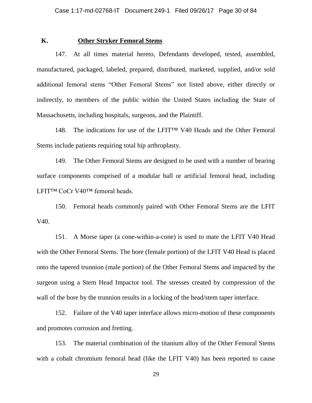## **K. Other Stryker Femoral Stems**

147. At all times material hereto, Defendants developed, tested, assembled, manufactured, packaged, labeled, prepared, distributed, marketed, supplied, and/or sold additional femoral stems "Other Femoral Stems" not listed above, either directly or indirectly, to members of the public within the United States including the State of Massachusetts, including hospitals, surgeons, and the Plaintiff.

148. The indications for use of the LFIT™ V40 Heads and the Other Femoral Stems include patients requiring total hip arthroplasty.

149. The Other Femoral Stems are designed to be used with a number of bearing surface components comprised of a modular ball or artificial femoral head, including LFIT™ CoCr V40™ femoral heads.

150. Femoral heads commonly paired with Other Femoral Stems are the LFIT V40.

151. A Morse taper (a cone-within-a-cone) is used to mate the LFIT V40 Head with the Other Femoral Stems. The bore (female portion) of the LFIT V40 Head is placed onto the tapered trunnion (male portion) of the Other Femoral Stems and impacted by the surgeon using a Stem Head Impactor tool. The stresses created by compression of the wall of the bore by the trunnion results in a locking of the head/stem taper interface.

152. Failure of the V40 taper interface allows micro-motion of these components and promotes corrosion and fretting.

153. The material combination of the titanium alloy of the Other Femoral Stems with a cobalt chromium femoral head (like the LFIT V40) has been reported to cause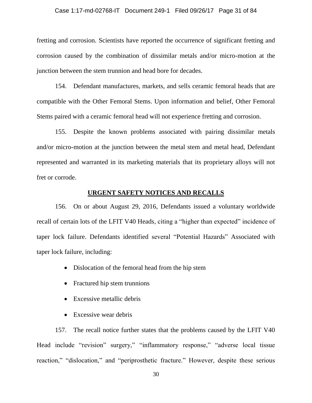#### Case 1:17-md-02768-IT Document 249-1 Filed 09/26/17 Page 31 of 84

fretting and corrosion. Scientists have reported the occurrence of significant fretting and corrosion caused by the combination of dissimilar metals and/or micro-motion at the junction between the stem trunnion and head bore for decades.

154. Defendant manufactures, markets, and sells ceramic femoral heads that are compatible with the Other Femoral Stems. Upon information and belief, Other Femoral Stems paired with a ceramic femoral head will not experience fretting and corrosion.

155. Despite the known problems associated with pairing dissimilar metals and/or micro-motion at the junction between the metal stem and metal head, Defendant represented and warranted in its marketing materials that its proprietary alloys will not fret or corrode.

## **URGENT SAFETY NOTICES AND RECALLS**

156. On or about August 29, 2016, Defendants issued a voluntary worldwide recall of certain lots of the LFIT V40 Heads, citing a "higher than expected" incidence of taper lock failure. Defendants identified several "Potential Hazards" Associated with taper lock failure, including:

- Dislocation of the femoral head from the hip stem
- Fractured hip stem trunnions
- Excessive metallic debris
- Excessive wear debris

157. The recall notice further states that the problems caused by the LFIT V40 Head include "revision" surgery," "inflammatory response," "adverse local tissue reaction," "dislocation," and "periprosthetic fracture." However, despite these serious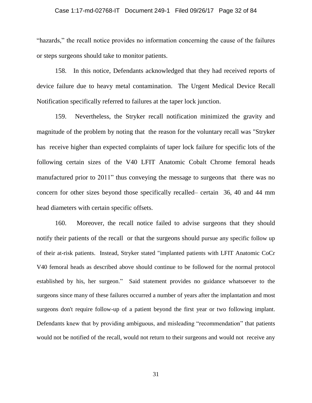#### Case 1:17-md-02768-IT Document 249-1 Filed 09/26/17 Page 32 of 84

"hazards," the recall notice provides no information concerning the cause of the failures or steps surgeons should take to monitor patients.

158. In this notice, Defendants acknowledged that they had received reports of device failure due to heavy metal contamination. The Urgent Medical Device Recall Notification specifically referred to failures at the taper lock junction.

159. Nevertheless, the Stryker recall notification minimized the gravity and magnitude of the problem by noting that the reason for the voluntary recall was "Stryker has receive higher than expected complaints of taper lock failure for specific lots of the following certain sizes of the V40 LFIT Anatomic Cobalt Chrome femoral heads manufactured prior to 2011" thus conveying the message to surgeons that there was no concern for other sizes beyond those specifically recalled– certain 36, 40 and 44 mm head diameters with certain specific offsets.

160. Moreover, the recall notice failed to advise surgeons that they should notify their patients of the recall or that the surgeons should pursue any specific follow up of their at-risk patients. Instead, Stryker stated "implanted patients with LFIT Anatomic CoCr V40 femoral heads as described above should continue to be followed for the normal protocol established by his, her surgeon." Said statement provides no guidance whatsoever to the surgeons since many of these failures occurred a number of years after the implantation and most surgeons don't require follow-up of a patient beyond the first year or two following implant. Defendants knew that by providing ambiguous, and misleading "recommendation" that patients would not be notified of the recall, would not return to their surgeons and would not receive any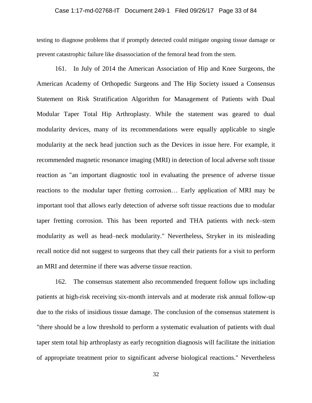#### Case 1:17-md-02768-IT Document 249-1 Filed 09/26/17 Page 33 of 84

testing to diagnose problems that if promptly detected could mitigate ongoing tissue damage or prevent catastrophic failure like disassociation of the femoral head from the stem.

161. In July of 2014 the American Association of Hip and Knee Surgeons, the American Academy of Orthopedic Surgeons and The Hip Society issued a Consensus Statement on Risk Stratification Algorithm for Management of Patients with Dual Modular Taper Total Hip Arthroplasty. While the statement was geared to dual modularity devices, many of its recommendations were equally applicable to single modularity at the neck head junction such as the Devices in issue here. For example, it recommended magnetic resonance imaging (MRI) in detection of local adverse soft tissue reaction as "an important diagnostic tool in evaluating the presence of adverse tissue reactions to the modular taper fretting corrosion… Early application of MRI may be important tool that allows early detection of adverse soft tissue reactions due to modular taper fretting corrosion. This has been reported and THA patients with neck–stem modularity as well as head–neck modularity." Nevertheless, Stryker in its misleading recall notice did not suggest to surgeons that they call their patients for a visit to perform an MRI and determine if there was adverse tissue reaction.

162. The consensus statement also recommended frequent follow ups including patients at high-risk receiving six-month intervals and at moderate risk annual follow-up due to the risks of insidious tissue damage. The conclusion of the consensus statement is "there should be a low threshold to perform a systematic evaluation of patients with dual taper stem total hip arthroplasty as early recognition diagnosis will facilitate the initiation of appropriate treatment prior to significant adverse biological reactions." Nevertheless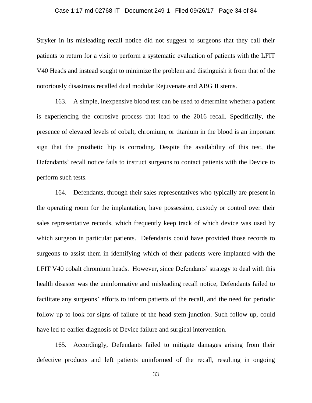#### Case 1:17-md-02768-IT Document 249-1 Filed 09/26/17 Page 34 of 84

Stryker in its misleading recall notice did not suggest to surgeons that they call their patients to return for a visit to perform a systematic evaluation of patients with the LFIT V40 Heads and instead sought to minimize the problem and distinguish it from that of the notoriously disastrous recalled dual modular Rejuvenate and ABG II stems.

163. A simple, inexpensive blood test can be used to determine whether a patient is experiencing the corrosive process that lead to the 2016 recall. Specifically, the presence of elevated levels of cobalt, chromium, or titanium in the blood is an important sign that the prosthetic hip is corroding. Despite the availability of this test, the Defendants' recall notice fails to instruct surgeons to contact patients with the Device to perform such tests.

164. Defendants, through their sales representatives who typically are present in the operating room for the implantation, have possession, custody or control over their sales representative records, which frequently keep track of which device was used by which surgeon in particular patients. Defendants could have provided those records to surgeons to assist them in identifying which of their patients were implanted with the LFIT V40 cobalt chromium heads. However, since Defendants' strategy to deal with this health disaster was the uninformative and misleading recall notice, Defendants failed to facilitate any surgeons' efforts to inform patients of the recall, and the need for periodic follow up to look for signs of failure of the head stem junction. Such follow up, could have led to earlier diagnosis of Device failure and surgical intervention.

165. Accordingly, Defendants failed to mitigate damages arising from their defective products and left patients uninformed of the recall, resulting in ongoing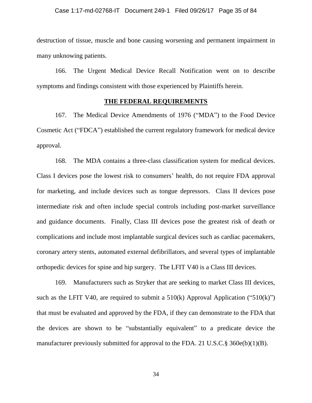destruction of tissue, muscle and bone causing worsening and permanent impairment in many unknowing patients.

166. The Urgent Medical Device Recall Notification went on to describe symptoms and findings consistent with those experienced by Plaintiffs herein.

## **THE FEDERAL REQUIREMENTS**

167. The Medical Device Amendments of 1976 ("MDA") to the Food Device Cosmetic Act ("FDCA") established the current regulatory framework for medical device approval.

168. The MDA contains a three-class classification system for medical devices. Class I devices pose the lowest risk to consumers' health, do not require FDA approval for marketing, and include devices such as tongue depressors. Class II devices pose intermediate risk and often include special controls including post-market surveillance and guidance documents. Finally, Class III devices pose the greatest risk of death or complications and include most implantable surgical devices such as cardiac pacemakers, coronary artery stents, automated external defibrillators, and several types of implantable orthopedic devices for spine and hip surgery. The LFIT V40 is a Class III devices.

169. Manufacturers such as Stryker that are seeking to market Class III devices, such as the LFIT V40, are required to submit a  $510(k)$  Approval Application (" $510(k)$ ") that must be evaluated and approved by the FDA, if they can demonstrate to the FDA that the devices are shown to be "substantially equivalent" to a predicate device the manufacturer previously submitted for approval to the FDA. 21 U.S.C.§ 360e(b)(1)(B).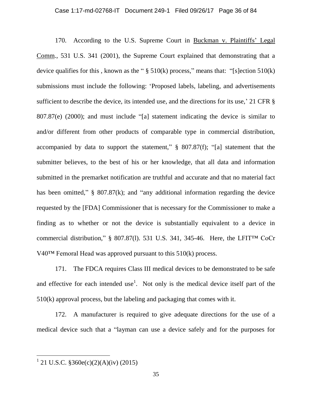## Case 1:17-md-02768-IT Document 249-1 Filed 09/26/17 Page 36 of 84

170. According to the U.S. Supreme Court in Buckman v. Plaintiffs' Legal Comm., 531 U.S. 341 (2001), the Supreme Court explained that demonstrating that a device qualifies for this , known as the "  $\S$  510(k) process," means that: "[s]ection 510(k) submissions must include the following: 'Proposed labels, labeling, and advertisements sufficient to describe the device, its intended use, and the directions for its use,' 21 CFR § 807.87(e) (2000); and must include "[a] statement indicating the device is similar to and/or different from other products of comparable type in commercial distribution, accompanied by data to support the statement," § 807.87(f); "[a] statement that the submitter believes, to the best of his or her knowledge, that all data and information submitted in the premarket notification are truthful and accurate and that no material fact has been omitted," § 807.87(k); and "any additional information regarding the device requested by the [FDA] Commissioner that is necessary for the Commissioner to make a finding as to whether or not the device is substantially equivalent to a device in commercial distribution," § 807.87(l). 531 U.S. 341, 345-46. Here, the LFIT™ CoCr V40™ Femoral Head was approved pursuant to this 510(k) process.

171. The FDCA requires Class III medical devices to be demonstrated to be safe and effective for each intended use<sup>1</sup>. Not only is the medical device itself part of the 510(k) approval process, but the labeling and packaging that comes with it.

172. A manufacturer is required to give adequate directions for the use of a medical device such that a "layman can use a device safely and for the purposes for

 $\overline{a}$ 

<sup>&</sup>lt;sup>1</sup> 21 U.S.C.  $$360e(c)(2)(A)(iv)$  (2015)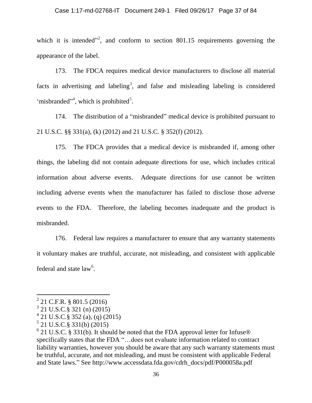### Case 1:17-md-02768-IT Document 249-1 Filed 09/26/17 Page 37 of 84

which it is intended<sup> $n^2$ </sup>, and conform to section 801.15 requirements governing the appearance of the label.

173. The FDCA requires medical device manufacturers to disclose all material facts in advertising and labeling<sup>3</sup>, and false and misleading labeling is considered 'misbranded"<sup>4</sup>, which is prohibited<sup>5</sup>.

174. The distribution of a "misbranded" medical device is prohibited pursuant to 21 U.S.C. §§ 331(a), (k) (2012) and 21 U.S.C. § 352(f) (2012).

175. The FDCA provides that a medical device is misbranded if, among other things, the labeling did not contain adequate directions for use, which includes critical information about adverse events. Adequate directions for use cannot be written including adverse events when the manufacturer has failed to disclose those adverse events to the FDA. Therefore, the labeling becomes inadequate and the product is misbranded.

176. Federal law requires a manufacturer to ensure that any warranty statements it voluntary makes are truthful, accurate, not misleading, and consistent with applicable federal and state  $law<sup>6</sup>$ .

 $\overline{a}$ 

 $^{2}$  21 C.F.R. § 801.5 (2016)

<sup>3</sup> 21 U.S.C.§ 321 (n) (2015)

<sup>4</sup> 21 U.S.C.§ 352 (a), (q) (2015)

<sup>5</sup> 21 U.S.C.§ 331(b) (2015)

 $6$  21 U.S.C. § 331(b). It should be noted that the FDA approval letter for Infuse® specifically states that the FDA "…does not evaluate information related to contract liability warranties, however you should be aware that any such warranty statements must be truthful, accurate, and not misleading, and must be consistent with applicable Federal and State laws." See http://www.accessdata.fda.gov/cdrh\_docs/pdf/P000058a.pdf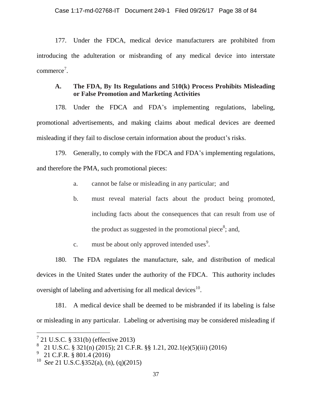177. Under the FDCA, medical device manufacturers are prohibited from introducing the adulteration or misbranding of any medical device into interstate commerce<sup>7</sup>.

# **A. The FDA, By Its Regulations and 510(k) Process Prohibits Misleading or False Promotion and Marketing Activities**

178. Under the FDCA and FDA's implementing regulations, labeling, promotional advertisements, and making claims about medical devices are deemed misleading if they fail to disclose certain information about the product's risks.

179. Generally, to comply with the FDCA and FDA's implementing regulations, and therefore the PMA, such promotional pieces:

- a. cannot be false or misleading in any particular; and
- b. must reveal material facts about the product being promoted, including facts about the consequences that can result from use of the product as suggested in the promotional piece<sup>8</sup>; and,
- c. must be about only approved intended uses<sup>9</sup>.

180. The FDA regulates the manufacture, sale, and distribution of medical devices in the United States under the authority of the FDCA. This authority includes oversight of labeling and advertising for all medical devices $^{10}$ .

181. A medical device shall be deemed to be misbranded if its labeling is false or misleading in any particular. Labeling or advertising may be considered misleading if

<sup>7</sup> 21 U.S.C. § 331(b) (effective 2013)

<sup>8</sup> 21 U.S.C. § 321(n) (2015); 21 C.F.R. §§ 1.21, 202.1(e)(5)(iii) (2016)

<sup>9</sup> 21 C.F.R. § 801.4 (2016)

<sup>10</sup> *See* 21 U.S.C.§352(a), (n), (q)(2015)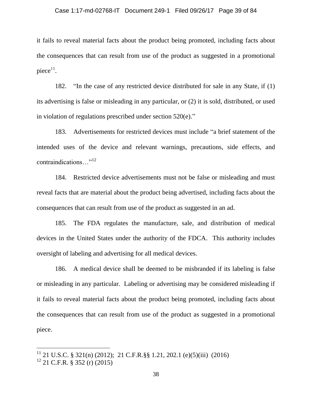### Case 1:17-md-02768-IT Document 249-1 Filed 09/26/17 Page 39 of 84

it fails to reveal material facts about the product being promoted, including facts about the consequences that can result from use of the product as suggested in a promotional  $piece<sup>11</sup>$ .

182. "In the case of any restricted device distributed for sale in any State, if (1) its advertising is false or misleading in any particular, or (2) it is sold, distributed, or used in violation of regulations prescribed under section 520(e)."

183. Advertisements for restricted devices must include "a brief statement of the intended uses of the device and relevant warnings, precautions, side effects, and contraindications…" 12

184. Restricted device advertisements must not be false or misleading and must reveal facts that are material about the product being advertised, including facts about the consequences that can result from use of the product as suggested in an ad.

185. The FDA regulates the manufacture, sale, and distribution of medical devices in the United States under the authority of the FDCA. This authority includes oversight of labeling and advertising for all medical devices.

186. A medical device shall be deemed to be misbranded if its labeling is false or misleading in any particular. Labeling or advertising may be considered misleading if it fails to reveal material facts about the product being promoted, including facts about the consequences that can result from use of the product as suggested in a promotional piece.

 $\overline{a}$ 

<sup>&</sup>lt;sup>11</sup> 21 U.S.C. § 321(n) (2012); 21 C.F.R.§§ 1.21, 202.1 (e)(5)(iii) (2016)

 $12$  21 C.F.R. § 352 (r) (2015)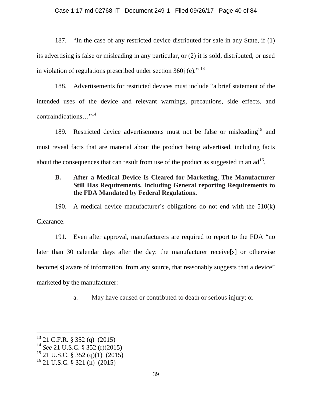### Case 1:17-md-02768-IT Document 249-1 Filed 09/26/17 Page 40 of 84

187. "In the case of any restricted device distributed for sale in any State, if (1) its advertising is false or misleading in any particular, or (2) it is sold, distributed, or used in violation of regulations prescribed under section 360j (e)."  $^{13}$ 

188. Advertisements for restricted devices must include "a brief statement of the intended uses of the device and relevant warnings, precautions, side effects, and contraindications…" 14

189. Restricted device advertisements must not be false or misleading<sup>15</sup> and must reveal facts that are material about the product being advertised, including facts about the consequences that can result from use of the product as suggested in an ad<sup>16</sup>.

# **B. After a Medical Device Is Cleared for Marketing, The Manufacturer Still Has Requirements, Including General reporting Requirements to the FDA Mandated by Federal Regulations.**

190. A medical device manufacturer's obligations do not end with the 510(k) Clearance.

191. Even after approval, manufacturers are required to report to the FDA "no later than 30 calendar days after the day: the manufacturer receive[s] or otherwise become<sup>[s]</sup> aware of information, from any source, that reasonably suggests that a device" marketed by the manufacturer:

a. May have caused or contributed to death or serious injury; or

 $13$  21 C.F.R. § 352 (q) (2015)

<sup>14</sup> *See* 21 U.S.C. § 352 (r)(2015)

 $15$  21 U.S.C. § 352 (q)(1) (2015)

 $^{16}$  21 U.S.C. § 321 (n) (2015)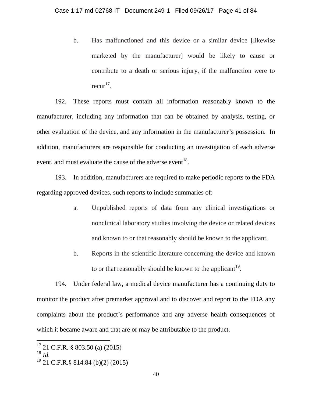b. Has malfunctioned and this device or a similar device [likewise marketed by the manufacturer] would be likely to cause or contribute to a death or serious injury, if the malfunction were to recur<sup>17</sup>.

192. These reports must contain all information reasonably known to the manufacturer, including any information that can be obtained by analysis, testing, or other evaluation of the device, and any information in the manufacturer's possession. In addition, manufacturers are responsible for conducting an investigation of each adverse event, and must evaluate the cause of the adverse event  $18$ .

193. In addition, manufacturers are required to make periodic reports to the FDA regarding approved devices, such reports to include summaries of:

- a. Unpublished reports of data from any clinical investigations or nonclinical laboratory studies involving the device or related devices and known to or that reasonably should be known to the applicant.
- b. Reports in the scientific literature concerning the device and known to or that reasonably should be known to the applicant<sup>19</sup>.

194. Under federal law, a medical device manufacturer has a continuing duty to monitor the product after premarket approval and to discover and report to the FDA any complaints about the product's performance and any adverse health consequences of which it became aware and that are or may be attributable to the product.

 $17$  21 C.F.R. § 803.50 (a) (2015)

<sup>18</sup> *Id.*

 $19$  21 C.F.R.§ 814.84 (b)(2) (2015)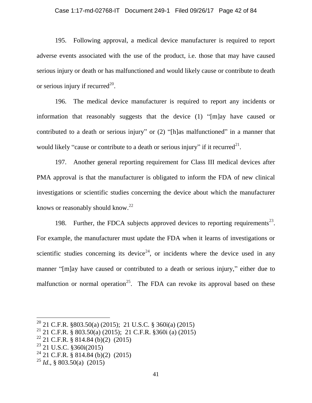### Case 1:17-md-02768-IT Document 249-1 Filed 09/26/17 Page 42 of 84

195. Following approval, a medical device manufacturer is required to report adverse events associated with the use of the product, i.e. those that may have caused serious injury or death or has malfunctioned and would likely cause or contribute to death or serious injury if recurred<sup>20</sup>.

196. The medical device manufacturer is required to report any incidents or information that reasonably suggests that the device (1) "[m]ay have caused or contributed to a death or serious injury" or (2) "[h]as malfunctioned" in a manner that would likely "cause or contribute to a death or serious injury" if it recurred<sup>21</sup>.

197. Another general reporting requirement for Class III medical devices after PMA approval is that the manufacturer is obligated to inform the FDA of new clinical investigations or scientific studies concerning the device about which the manufacturer knows or reasonably should know.<sup>22</sup>

198. Further, the FDCA subjects approved devices to reporting requirements<sup>23</sup>. For example, the manufacturer must update the FDA when it learns of investigations or scientific studies concerning its device<sup>24</sup>, or incidents where the device used in any manner "[m]ay have caused or contributed to a death or serious injury," either due to malfunction or normal operation<sup>25</sup>. The FDA can revoke its approval based on these

<sup>&</sup>lt;sup>20</sup> 21 C.F.R. §803.50(a) (2015); 21 U.S.C. § 360 $i$ (a) (2015)

<sup>&</sup>lt;sup>21</sup> 21 C.F.R. § 803.50(a) (2015); 21 C.F.R. §360i (a) (2015)

 $22$  21 C.F.R. § 814.84 (b)(2) (2015)

 $^{23}$  21 U.S.C. §360i(2015)

<sup>&</sup>lt;sup>24</sup> 21 C.F.R. § 814.84 (b)(2) (2015)

 $^{25}$  *Id.*, § 803.50(a) (2015)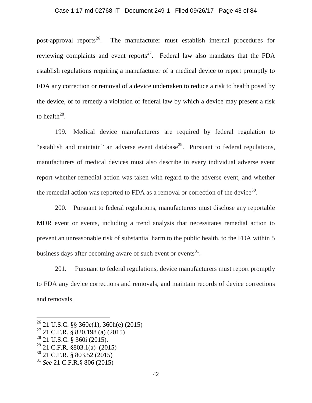post-approval reports<sup>26</sup>. The manufacturer must establish internal procedures for reviewing complaints and event reports<sup>27</sup>. Federal law also mandates that the FDA establish regulations requiring a manufacturer of a medical device to report promptly to FDA any correction or removal of a device undertaken to reduce a risk to health posed by the device, or to remedy a violation of federal law by which a device may present a risk to health<sup>28</sup>.

199. Medical device manufacturers are required by federal regulation to "establish and maintain" an adverse event database<sup>29</sup>. Pursuant to federal regulations, manufacturers of medical devices must also describe in every individual adverse event report whether remedial action was taken with regard to the adverse event, and whether the remedial action was reported to FDA as a removal or correction of the device<sup>30</sup>.

200. Pursuant to federal regulations, manufacturers must disclose any reportable MDR event or events, including a trend analysis that necessitates remedial action to prevent an unreasonable risk of substantial harm to the public health, to the FDA within 5 business days after becoming aware of such event or events $^{31}$ .

201. Pursuant to federal regulations, device manufacturers must report promptly to FDA any device corrections and removals, and maintain records of device corrections and removals.

 $26$  21 U.S.C. §§ 360e(1), 360h(e) (2015)

<sup>27</sup> 21 C.F.R. § 820.198 (a) (2015)

<sup>28</sup> 21 U.S.C. § 360i (2015).

 $^{29}$  21 C.F.R. §803.1(a) (2015)

<sup>30</sup> 21 C.F.R. § 803.52 (2015)

<sup>31</sup> *See* 21 C.F.R.§ 806 (2015)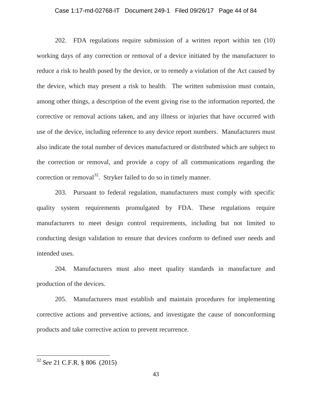### Case 1:17-md-02768-IT Document 249-1 Filed 09/26/17 Page 44 of 84

202. FDA regulations require submission of a written report within ten (10) working days of any correction or removal of a device initiated by the manufacturer to reduce a risk to health posed by the device, or to remedy a violation of the Act caused by the device, which may present a risk to health. The written submission must contain, among other things, a description of the event giving rise to the information reported, the corrective or removal actions taken, and any illness or injuries that have occurred with use of the device, including reference to any device report numbers. Manufacturers must also indicate the total number of devices manufactured or distributed which are subject to the correction or removal, and provide a copy of all communications regarding the correction or removal<sup>32</sup>. Stryker failed to do so in timely manner.

203. Pursuant to federal regulation, manufacturers must comply with specific quality system requirements promulgated by FDA. These regulations require manufacturers to meet design control requirements, including but not limited to conducting design validation to ensure that devices conform to defined user needs and intended uses.

204. Manufacturers must also meet quality standards in manufacture and production of the devices.

205. Manufacturers must establish and maintain procedures for implementing corrective actions and preventive actions, and investigate the cause of nonconforming products and take corrective action to prevent recurrence.

 $\overline{a}$ 

<sup>32</sup> *See* 21 C.F.R. § 806 (2015)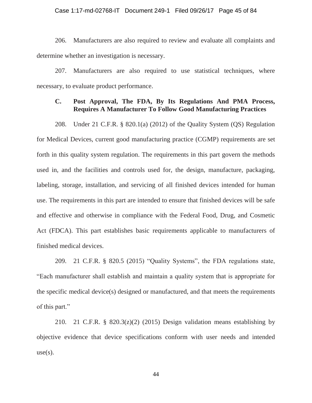### Case 1:17-md-02768-IT Document 249-1 Filed 09/26/17 Page 45 of 84

206. Manufacturers are also required to review and evaluate all complaints and determine whether an investigation is necessary.

207. Manufacturers are also required to use statistical techniques, where necessary, to evaluate product performance.

# **C. Post Approval, The FDA, By Its Regulations And PMA Process, Requires A Manufacturer To Follow Good Manufacturing Practices**

208. Under 21 C.F.R. § 820.1(a) (2012) of the Quality System (QS) Regulation for Medical Devices, current good manufacturing practice (CGMP) requirements are set forth in this quality system regulation. The requirements in this part govern the methods used in, and the facilities and controls used for, the design, manufacture, packaging, labeling, storage, installation, and servicing of all finished devices intended for human use. The requirements in this part are intended to ensure that finished devices will be safe and effective and otherwise in compliance with the Federal Food, Drug, and Cosmetic Act (FDCA). This part establishes basic requirements applicable to manufacturers of finished medical devices.

209. 21 C.F.R. § 820.5 (2015) "Quality Systems", the FDA regulations state, "Each manufacturer shall establish and maintain a quality system that is appropriate for the specific medical device(s) designed or manufactured, and that meets the requirements of this part."

210. 21 C.F.R. §  $820.3(z)(2)$  (2015) Design validation means establishing by objective evidence that device specifications conform with user needs and intended  $use(s)$ .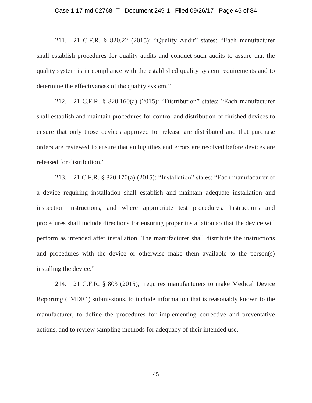211. 21 C.F.R. § 820.22 (2015): "Quality Audit" states: "Each manufacturer shall establish procedures for quality audits and conduct such audits to assure that the quality system is in compliance with the established quality system requirements and to determine the effectiveness of the quality system."

212. 21 C.F.R. § 820.160(a) (2015): "Distribution" states: "Each manufacturer shall establish and maintain procedures for control and distribution of finished devices to ensure that only those devices approved for release are distributed and that purchase orders are reviewed to ensure that ambiguities and errors are resolved before devices are released for distribution."

213. 21 C.F.R. § 820.170(a) (2015): "Installation" states: "Each manufacturer of a device requiring installation shall establish and maintain adequate installation and inspection instructions, and where appropriate test procedures. Instructions and procedures shall include directions for ensuring proper installation so that the device will perform as intended after installation. The manufacturer shall distribute the instructions and procedures with the device or otherwise make them available to the person(s) installing the device."

214. 21 C.F.R. § 803 (2015), requires manufacturers to make Medical Device Reporting ("MDR") submissions, to include information that is reasonably known to the manufacturer, to define the procedures for implementing corrective and preventative actions, and to review sampling methods for adequacy of their intended use.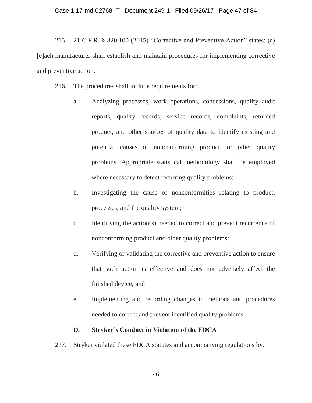215. 21 C.F.R. § 820.100 (2015) "Corrective and Preventive Action" states: (a) [e]ach manufacturer shall establish and maintain procedures for implementing corrective and preventive action.

216. The procedures shall include requirements for:

- a. Analyzing processes, work operations, concessions, quality audit reports, quality records, service records, complaints, returned product, and other sources of quality data to identify existing and potential causes of nonconforming product, or other quality problems. Appropriate statistical methodology shall be employed where necessary to detect recurring quality problems;
- b. Investigating the cause of nonconformities relating to product, processes, and the quality system;
- c. Identifying the action(s) needed to correct and prevent recurrence of nonconforming product and other quality problems;
- d. Verifying or validating the corrective and preventive action to ensure that such action is effective and does not adversely affect the finished device; and
- e. Implementing and recording changes in methods and procedures needed to correct and prevent identified quality problems.

# **D. Stryker's Conduct in Violation of the FDCA**

217. Stryker violated these FDCA statutes and accompanying regulations by: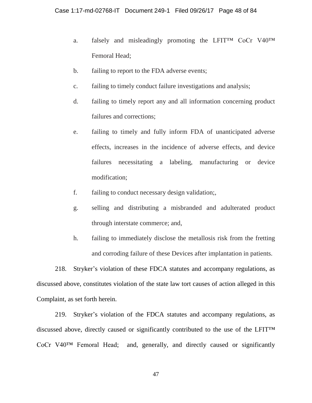- a. falsely and misleadingly promoting the LFIT<sup>M</sup> CoCr V40<sup>TM</sup> Femoral Head;
- b. failing to report to the FDA adverse events;
- c. failing to timely conduct failure investigations and analysis;
- d. failing to timely report any and all information concerning product failures and corrections;
- e. failing to timely and fully inform FDA of unanticipated adverse effects, increases in the incidence of adverse effects, and device failures necessitating a labeling, manufacturing or device modification;
- f. failing to conduct necessary design validation;,
- g. selling and distributing a misbranded and adulterated product through interstate commerce; and,
- h. failing to immediately disclose the metallosis risk from the fretting and corroding failure of these Devices after implantation in patients.

218. Stryker's violation of these FDCA statutes and accompany regulations, as discussed above, constitutes violation of the state law tort causes of action alleged in this Complaint, as set forth herein.

219. Stryker's violation of the FDCA statutes and accompany regulations, as discussed above, directly caused or significantly contributed to the use of the LFIT™ CoCr V40™ Femoral Head; and, generally, and directly caused or significantly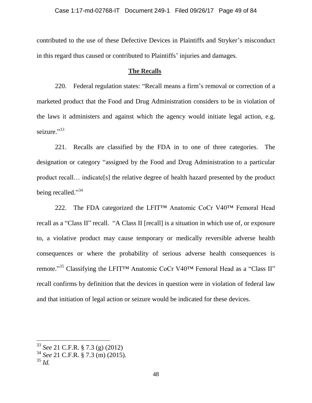contributed to the use of these Defective Devices in Plaintiffs and Stryker's misconduct in this regard thus caused or contributed to Plaintiffs' injuries and damages.

# **The Recalls**

220. Federal regulation states: "Recall means a firm's removal or correction of a marketed product that the Food and Drug Administration considers to be in violation of the laws it administers and against which the agency would initiate legal action, e.g. seizure."33

221. Recalls are classified by the FDA in to one of three categories. The designation or category "assigned by the Food and Drug Administration to a particular product recall… indicate[s] the relative degree of health hazard presented by the product being recalled."<sup>34</sup>

222. The FDA categorized the LFIT™ Anatomic CoCr V40™ Femoral Head recall as a "Class II" recall. "A Class II [recall] is a situation in which use of, or exposure to, a violative product may cause temporary or medically reversible adverse health consequences or where the probability of serious adverse health consequences is remote."<sup>35</sup> Classifying the LFIT™ Anatomic CoCr V40<sup>™</sup> Femoral Head as a "Class II" recall confirms by definition that the devices in question were in violation of federal law and that initiation of legal action or seizure would be indicated for these devices.

<sup>33</sup> *See* 21 C.F.R. § 7.3 (g) (2012)

<sup>34</sup> *See* 21 C.F.R. § 7.3 (m) (2015).

<sup>35</sup> *Id.*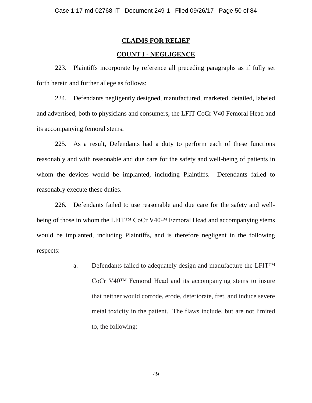# **CLAIMS FOR RELIEF**

# **COUNT I - NEGLIGENCE**

223. Plaintiffs incorporate by reference all preceding paragraphs as if fully set forth herein and further allege as follows:

224. Defendants negligently designed, manufactured, marketed, detailed, labeled and advertised, both to physicians and consumers, the LFIT CoCr V40 Femoral Head and its accompanying femoral stems.

225. As a result, Defendants had a duty to perform each of these functions reasonably and with reasonable and due care for the safety and well-being of patients in whom the devices would be implanted, including Plaintiffs. Defendants failed to reasonably execute these duties.

226. Defendants failed to use reasonable and due care for the safety and wellbeing of those in whom the LFIT™ CoCr V40™ Femoral Head and accompanying stems would be implanted, including Plaintiffs, and is therefore negligent in the following respects:

> a. Defendants failed to adequately design and manufacture the LFIT<sup>TM</sup> CoCr V40™ Femoral Head and its accompanying stems to insure that neither would corrode, erode, deteriorate, fret, and induce severe metal toxicity in the patient. The flaws include, but are not limited to, the following: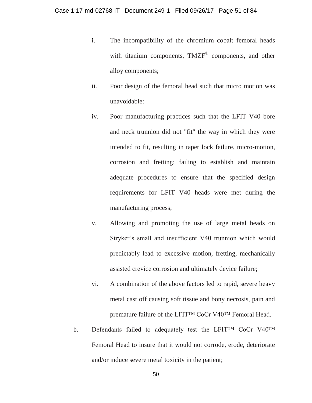- i. The incompatibility of the chromium cobalt femoral heads with titanium components, TMZF® components, and other alloy components;
- ii. Poor design of the femoral head such that micro motion was unavoidable:
- iv. Poor manufacturing practices such that the LFIT V40 bore and neck trunnion did not "fit" the way in which they were intended to fit, resulting in taper lock failure, micro-motion, corrosion and fretting; failing to establish and maintain adequate procedures to ensure that the specified design requirements for LFIT V40 heads were met during the manufacturing process;
- v. Allowing and promoting the use of large metal heads on Stryker's small and insufficient V40 trunnion which would predictably lead to excessive motion, fretting, mechanically assisted crevice corrosion and ultimately device failure;
- vi. A combination of the above factors led to rapid, severe heavy metal cast off causing soft tissue and bony necrosis, pain and premature failure of the LFIT™ CoCr V40™ Femoral Head.
- b. Defendants failed to adequately test the LFIT<sup>IM</sup> CoCr V40<sup>IM</sup> Femoral Head to insure that it would not corrode, erode, deteriorate and/or induce severe metal toxicity in the patient;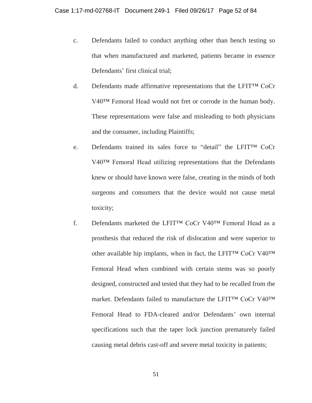- c. Defendants failed to conduct anything other than bench testing so that when manufactured and marketed, patients became in essence Defendants' first clinical trial;
- d. Defendants made affirmative representations that the LFIT™ CoCr V40™ Femoral Head would not fret or corrode in the human body. These representations were false and misleading to both physicians and the consumer, including Plaintiffs;
- e. Defendants trained its sales force to "detail" the LFIT™ CoCr V40™ Femoral Head utilizing representations that the Defendants knew or should have known were false, creating in the minds of both surgeons and consumers that the device would not cause metal toxicity;
- f. Defendants marketed the LFIT™ CoCr V40™ Femoral Head as a prosthesis that reduced the risk of dislocation and were superior to other available hip implants, when in fact, the LFIT™ CoCr V40™ Femoral Head when combined with certain stems was so poorly designed, constructed and tested that they had to be recalled from the market. Defendants failed to manufacture the LFIT™ CoCr V40™ Femoral Head to FDA-cleared and/or Defendants' own internal specifications such that the taper lock junction prematurely failed causing metal debris cast-off and severe metal toxicity in patients;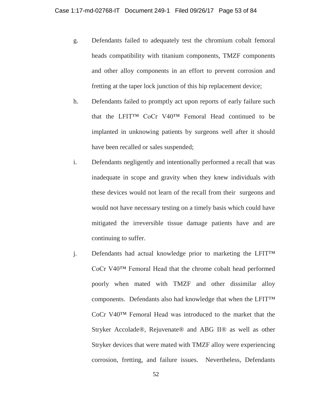- g. Defendants failed to adequately test the chromium cobalt femoral heads compatibility with titanium components, TMZF components and other alloy components in an effort to prevent corrosion and fretting at the taper lock junction of this hip replacement device;
- h. Defendants failed to promptly act upon reports of early failure such that the LFIT™ CoCr V40™ Femoral Head continued to be implanted in unknowing patients by surgeons well after it should have been recalled or sales suspended;
- i. Defendants negligently and intentionally performed a recall that was inadequate in scope and gravity when they knew individuals with these devices would not learn of the recall from their surgeons and would not have necessary testing on a timely basis which could have mitigated the irreversible tissue damage patients have and are continuing to suffer.
- j. Defendants had actual knowledge prior to marketing the LFIT™ CoCr V40™ Femoral Head that the chrome cobalt head performed poorly when mated with TMZF and other dissimilar alloy components. Defendants also had knowledge that when the LFIT™ CoCr V40™ Femoral Head was introduced to the market that the Stryker Accolade®, Rejuvenate® and ABG II® as well as other Stryker devices that were mated with TMZF alloy were experiencing corrosion, fretting, and failure issues. Nevertheless, Defendants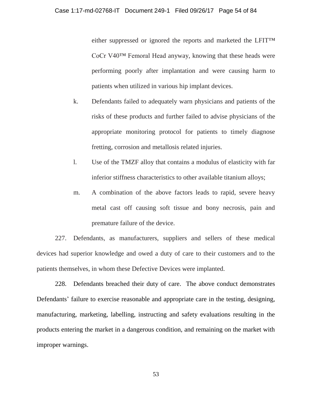either suppressed or ignored the reports and marketed the LFIT™ CoCr V40™ Femoral Head anyway, knowing that these heads were performing poorly after implantation and were causing harm to patients when utilized in various hip implant devices.

- k. Defendants failed to adequately warn physicians and patients of the risks of these products and further failed to advise physicians of the appropriate monitoring protocol for patients to timely diagnose fretting, corrosion and metallosis related injuries.
- l. Use of the TMZF alloy that contains a modulus of elasticity with far inferior stiffness characteristics to other available titanium alloys;
- m. A combination of the above factors leads to rapid, severe heavy metal cast off causing soft tissue and bony necrosis, pain and premature failure of the device.

227. Defendants, as manufacturers, suppliers and sellers of these medical devices had superior knowledge and owed a duty of care to their customers and to the patients themselves, in whom these Defective Devices were implanted.

228. Defendants breached their duty of care. The above conduct demonstrates Defendants' failure to exercise reasonable and appropriate care in the testing, designing, manufacturing, marketing, labelling, instructing and safety evaluations resulting in the products entering the market in a dangerous condition, and remaining on the market with improper warnings.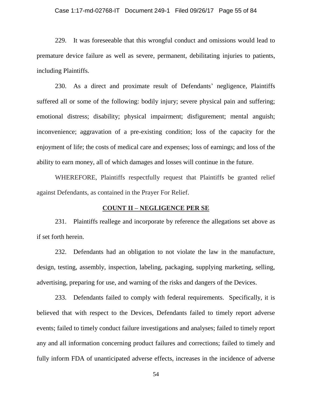#### Case 1:17-md-02768-IT Document 249-1 Filed 09/26/17 Page 55 of 84

229. It was foreseeable that this wrongful conduct and omissions would lead to premature device failure as well as severe, permanent, debilitating injuries to patients, including Plaintiffs.

230. As a direct and proximate result of Defendants' negligence, Plaintiffs suffered all or some of the following: bodily injury; severe physical pain and suffering; emotional distress; disability; physical impairment; disfigurement; mental anguish; inconvenience; aggravation of a pre-existing condition; loss of the capacity for the enjoyment of life; the costs of medical care and expenses; loss of earnings; and loss of the ability to earn money, all of which damages and losses will continue in the future.

WHEREFORE, Plaintiffs respectfully request that Plaintiffs be granted relief against Defendants, as contained in the Prayer For Relief.

# **COUNT II – NEGLIGENCE PER SE**

231. Plaintiffs reallege and incorporate by reference the allegations set above as if set forth herein.

232. Defendants had an obligation to not violate the law in the manufacture, design, testing, assembly, inspection, labeling, packaging, supplying marketing, selling, advertising, preparing for use, and warning of the risks and dangers of the Devices.

233. Defendants failed to comply with federal requirements. Specifically, it is believed that with respect to the Devices, Defendants failed to timely report adverse events; failed to timely conduct failure investigations and analyses; failed to timely report any and all information concerning product failures and corrections; failed to timely and fully inform FDA of unanticipated adverse effects, increases in the incidence of adverse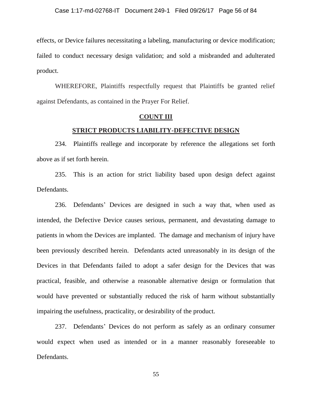effects, or Device failures necessitating a labeling, manufacturing or device modification; failed to conduct necessary design validation; and sold a misbranded and adulterated product.

WHEREFORE, Plaintiffs respectfully request that Plaintiffs be granted relief against Defendants, as contained in the Prayer For Relief.

### **COUNT III**

## **STRICT PRODUCTS LIABILITY-DEFECTIVE DESIGN**

234. Plaintiffs reallege and incorporate by reference the allegations set forth above as if set forth herein.

235. This is an action for strict liability based upon design defect against Defendants.

236. Defendants' Devices are designed in such a way that, when used as intended, the Defective Device causes serious, permanent, and devastating damage to patients in whom the Devices are implanted. The damage and mechanism of injury have been previously described herein. Defendants acted unreasonably in its design of the Devices in that Defendants failed to adopt a safer design for the Devices that was practical, feasible, and otherwise a reasonable alternative design or formulation that would have prevented or substantially reduced the risk of harm without substantially impairing the usefulness, practicality, or desirability of the product.

237. Defendants' Devices do not perform as safely as an ordinary consumer would expect when used as intended or in a manner reasonably foreseeable to Defendants.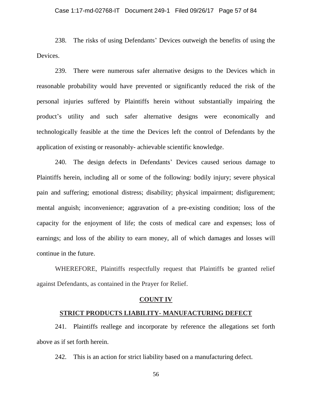### Case 1:17-md-02768-IT Document 249-1 Filed 09/26/17 Page 57 of 84

238. The risks of using Defendants' Devices outweigh the benefits of using the Devices.

239. There were numerous safer alternative designs to the Devices which in reasonable probability would have prevented or significantly reduced the risk of the personal injuries suffered by Plaintiffs herein without substantially impairing the product's utility and such safer alternative designs were economically and technologically feasible at the time the Devices left the control of Defendants by the application of existing or reasonably- achievable scientific knowledge.

240. The design defects in Defendants' Devices caused serious damage to Plaintiffs herein, including all or some of the following: bodily injury; severe physical pain and suffering; emotional distress; disability; physical impairment; disfigurement; mental anguish; inconvenience; aggravation of a pre-existing condition; loss of the capacity for the enjoyment of life; the costs of medical care and expenses; loss of earnings; and loss of the ability to earn money, all of which damages and losses will continue in the future.

WHEREFORE, Plaintiffs respectfully request that Plaintiffs be granted relief against Defendants, as contained in the Prayer for Relief.

### **COUNT IV**

### **STRICT PRODUCTS LIABILITY- MANUFACTURING DEFECT**

241. Plaintiffs reallege and incorporate by reference the allegations set forth above as if set forth herein.

242. This is an action for strict liability based on a manufacturing defect.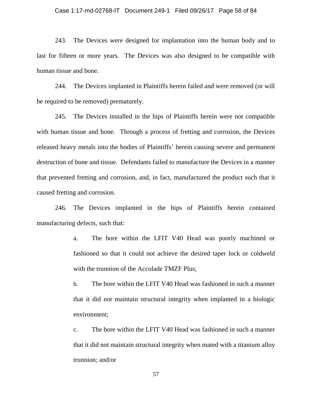### Case 1:17-md-02768-IT Document 249-1 Filed 09/26/17 Page 58 of 84

243. The Devices were designed for implantation into the human body and to last for fifteen or more years. The Devices was also designed to be compatible with human tissue and bone.

244. The Devices implanted in Plaintiffs herein failed and were removed (or will be required to be removed) prematurely.

245. The Devices installed in the hips of Plaintiffs herein were not compatible with human tissue and bone. Through a process of fretting and corrosion, the Devices released heavy metals into the bodies of Plaintiffs' herein causing severe and permanent destruction of bone and tissue. Defendants failed to manufacture the Devices in a manner that prevented fretting and corrosion, and, in fact, manufactured the product such that it caused fretting and corrosion.

246. The Devices implanted in the hips of Plaintiffs herein contained manufacturing defects, such that:

> a. The bore within the LFIT V40 Head was poorly machined or fashioned so that it could not achieve the desired taper lock or coldweld with the trunnion of the Accolade TMZF Plus;

> b. The bore within the LFIT V40 Head was fashioned in such a manner that it did not maintain structural integrity when implanted in a biologic environment;

> c. The bore within the LFIT V40 Head was fashioned in such a manner that it did not maintain structural integrity when mated with a titanium alloy trunnion; and/or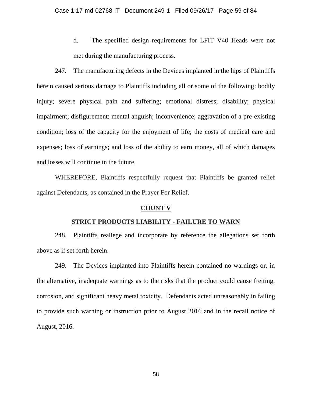d. The specified design requirements for LFIT V40 Heads were not met during the manufacturing process.

247. The manufacturing defects in the Devices implanted in the hips of Plaintiffs herein caused serious damage to Plaintiffs including all or some of the following: bodily injury; severe physical pain and suffering; emotional distress; disability; physical impairment; disfigurement; mental anguish; inconvenience; aggravation of a pre-existing condition; loss of the capacity for the enjoyment of life; the costs of medical care and expenses; loss of earnings; and loss of the ability to earn money, all of which damages and losses will continue in the future.

WHEREFORE, Plaintiffs respectfully request that Plaintiffs be granted relief against Defendants, as contained in the Prayer For Relief.

## **COUNT V**

### **STRICT PRODUCTS LIABILITY - FAILURE TO WARN**

248. Plaintiffs reallege and incorporate by reference the allegations set forth above as if set forth herein.

249. The Devices implanted into Plaintiffs herein contained no warnings or, in the alternative, inadequate warnings as to the risks that the product could cause fretting, corrosion, and significant heavy metal toxicity. Defendants acted unreasonably in failing to provide such warning or instruction prior to August 2016 and in the recall notice of August, 2016.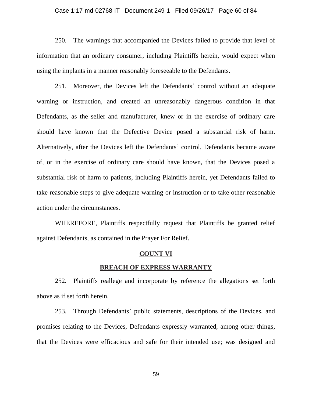#### Case 1:17-md-02768-IT Document 249-1 Filed 09/26/17 Page 60 of 84

250. The warnings that accompanied the Devices failed to provide that level of information that an ordinary consumer, including Plaintiffs herein, would expect when using the implants in a manner reasonably foreseeable to the Defendants.

251. Moreover, the Devices left the Defendants' control without an adequate warning or instruction, and created an unreasonably dangerous condition in that Defendants, as the seller and manufacturer, knew or in the exercise of ordinary care should have known that the Defective Device posed a substantial risk of harm. Alternatively, after the Devices left the Defendants' control, Defendants became aware of, or in the exercise of ordinary care should have known, that the Devices posed a substantial risk of harm to patients, including Plaintiffs herein, yet Defendants failed to take reasonable steps to give adequate warning or instruction or to take other reasonable action under the circumstances.

WHEREFORE, Plaintiffs respectfully request that Plaintiffs be granted relief against Defendants, as contained in the Prayer For Relief.

# **COUNT VI**

# **BREACH OF EXPRESS WARRANTY**

252. Plaintiffs reallege and incorporate by reference the allegations set forth above as if set forth herein.

253. Through Defendants' public statements, descriptions of the Devices, and promises relating to the Devices, Defendants expressly warranted, among other things, that the Devices were efficacious and safe for their intended use; was designed and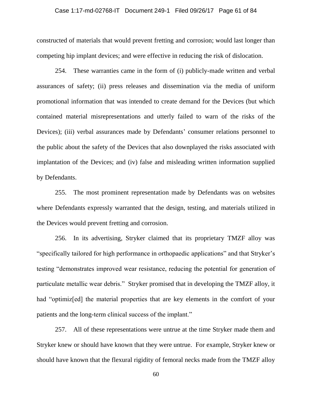#### Case 1:17-md-02768-IT Document 249-1 Filed 09/26/17 Page 61 of 84

constructed of materials that would prevent fretting and corrosion; would last longer than competing hip implant devices; and were effective in reducing the risk of dislocation.

254. These warranties came in the form of (i) publicly-made written and verbal assurances of safety; (ii) press releases and dissemination via the media of uniform promotional information that was intended to create demand for the Devices (but which contained material misrepresentations and utterly failed to warn of the risks of the Devices); (iii) verbal assurances made by Defendants' consumer relations personnel to the public about the safety of the Devices that also downplayed the risks associated with implantation of the Devices; and (iv) false and misleading written information supplied by Defendants.

255. The most prominent representation made by Defendants was on websites where Defendants expressly warranted that the design, testing, and materials utilized in the Devices would prevent fretting and corrosion.

256. In its advertising, Stryker claimed that its proprietary TMZF alloy was "specifically tailored for high performance in orthopaedic applications" and that Stryker's testing "demonstrates improved wear resistance, reducing the potential for generation of particulate metallic wear debris." Stryker promised that in developing the TMZF alloy, it had "optimiz[ed] the material properties that are key elements in the comfort of your patients and the long-term clinical success of the implant."

257. All of these representations were untrue at the time Stryker made them and Stryker knew or should have known that they were untrue. For example, Stryker knew or should have known that the flexural rigidity of femoral necks made from the TMZF alloy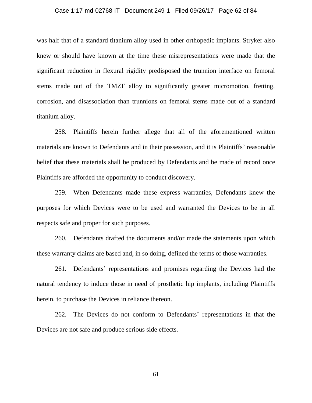### Case 1:17-md-02768-IT Document 249-1 Filed 09/26/17 Page 62 of 84

was half that of a standard titanium alloy used in other orthopedic implants. Stryker also knew or should have known at the time these misrepresentations were made that the significant reduction in flexural rigidity predisposed the trunnion interface on femoral stems made out of the TMZF alloy to significantly greater micromotion, fretting, corrosion, and disassociation than trunnions on femoral stems made out of a standard titanium alloy.

258. Plaintiffs herein further allege that all of the aforementioned written materials are known to Defendants and in their possession, and it is Plaintiffs' reasonable belief that these materials shall be produced by Defendants and be made of record once Plaintiffs are afforded the opportunity to conduct discovery.

259. When Defendants made these express warranties, Defendants knew the purposes for which Devices were to be used and warranted the Devices to be in all respects safe and proper for such purposes.

260. Defendants drafted the documents and/or made the statements upon which these warranty claims are based and, in so doing, defined the terms of those warranties.

261. Defendants' representations and promises regarding the Devices had the natural tendency to induce those in need of prosthetic hip implants, including Plaintiffs herein, to purchase the Devices in reliance thereon.

262. The Devices do not conform to Defendants' representations in that the Devices are not safe and produce serious side effects.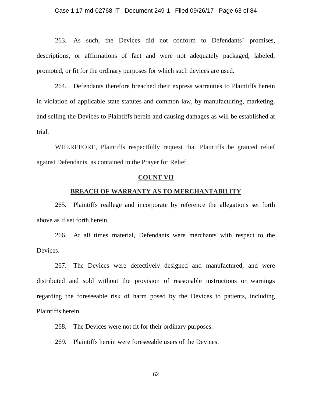263. As such, the Devices did not conform to Defendants' promises, descriptions, or affirmations of fact and were not adequately packaged, labeled, promoted, or fit for the ordinary purposes for which such devices are used.

264. Defendants therefore breached their express warranties to Plaintiffs herein in violation of applicable state statutes and common law, by manufacturing, marketing, and selling the Devices to Plaintiffs herein and causing damages as will be established at trial.

WHEREFORE, Plaintiffs respectfully request that Plaintiffs be granted relief against Defendants, as contained in the Prayer for Relief.

### **COUNT VII**

### **BREACH OF WARRANTY AS TO MERCHANTABILITY**

265. Plaintiffs reallege and incorporate by reference the allegations set forth above as if set forth herein.

266. At all times material, Defendants were merchants with respect to the Devices.

267. The Devices were defectively designed and manufactured, and were distributed and sold without the provision of reasonable instructions or warnings regarding the foreseeable risk of harm posed by the Devices to patients, including Plaintiffs herein.

268. The Devices were not fit for their ordinary purposes.

269. Plaintiffs herein were foreseeable users of the Devices.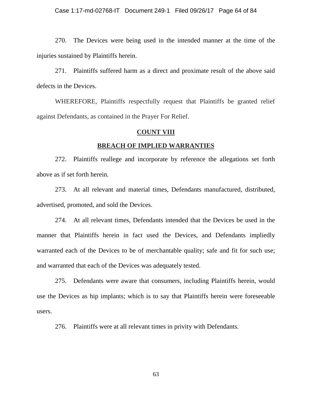### Case 1:17-md-02768-IT Document 249-1 Filed 09/26/17 Page 64 of 84

270. The Devices were being used in the intended manner at the time of the injuries sustained by Plaintiffs herein.

271. Plaintiffs suffered harm as a direct and proximate result of the above said defects in the Devices.

WHEREFORE, Plaintiffs respectfully request that Plaintiffs be granted relief against Defendants, as contained in the Prayer For Relief.

## **COUNT VIII**

### **BREACH OF IMPLIED WARRANTIES**

272. Plaintiffs reallege and incorporate by reference the allegations set forth above as if set forth herein.

273. At all relevant and material times, Defendants manufactured, distributed, advertised, promoted, and sold the Devices.

274. At all relevant times, Defendants intended that the Devices be used in the manner that Plaintiffs herein in fact used the Devices, and Defendants impliedly warranted each of the Devices to be of merchantable quality; safe and fit for such use; and warranted that each of the Devices was adequately tested.

275. Defendants were aware that consumers, including Plaintiffs herein, would use the Devices as hip implants; which is to say that Plaintiffs herein were foreseeable users.

276. Plaintiffs were at all relevant times in privity with Defendants.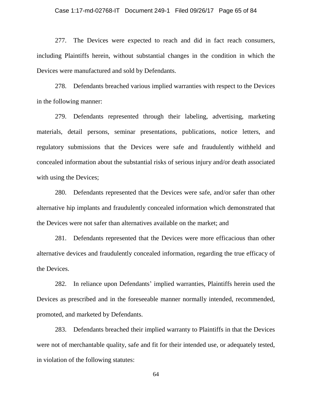### Case 1:17-md-02768-IT Document 249-1 Filed 09/26/17 Page 65 of 84

277. The Devices were expected to reach and did in fact reach consumers, including Plaintiffs herein, without substantial changes in the condition in which the Devices were manufactured and sold by Defendants.

278. Defendants breached various implied warranties with respect to the Devices in the following manner:

279. Defendants represented through their labeling, advertising, marketing materials, detail persons, seminar presentations, publications, notice letters, and regulatory submissions that the Devices were safe and fraudulently withheld and concealed information about the substantial risks of serious injury and/or death associated with using the Devices;

280. Defendants represented that the Devices were safe, and/or safer than other alternative hip implants and fraudulently concealed information which demonstrated that the Devices were not safer than alternatives available on the market; and

281. Defendants represented that the Devices were more efficacious than other alternative devices and fraudulently concealed information, regarding the true efficacy of the Devices.

282. In reliance upon Defendants' implied warranties, Plaintiffs herein used the Devices as prescribed and in the foreseeable manner normally intended, recommended, promoted, and marketed by Defendants.

283. Defendants breached their implied warranty to Plaintiffs in that the Devices were not of merchantable quality, safe and fit for their intended use, or adequately tested, in violation of the following statutes: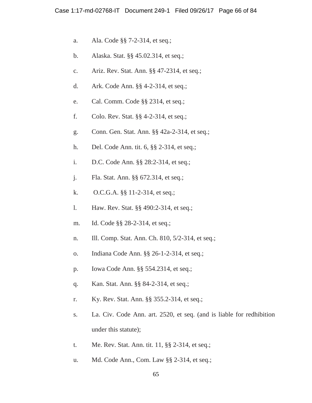- a. Ala. Code §§ 7-2-314, et seq.;
- b. Alaska. Stat. §§ 45.02.314, et seq.;
- c. Ariz. Rev. Stat. Ann. §§ 47-2314, et seq.;
- d. Ark. Code Ann. §§ 4-2-314, et seq.;
- e. Cal. Comm. Code §§ 2314, et seq.;
- f. Colo. Rev. Stat. §§ 4-2-314, et seq.;
- g. Conn. Gen. Stat. Ann. §§ 42a-2-314, et seq.;
- h. Del. Code Ann. tit. 6, §§ 2-314, et seq.;
- i. D.C. Code Ann. §§ 28:2-314, et seq.;
- j. Fla. Stat. Ann. §§ 672.314, et seq.;
- k. O.C.G.A. §§ 11-2-314, et seq.;
- l. Haw. Rev. Stat. §§ 490:2-314, et seq.;
- m. Id. Code §§ 28-2-314, et seq.;
- n. Ill. Comp. Stat. Ann. Ch. 810, 5/2-314, et seq.;
- o. Indiana Code Ann. §§ 26-1-2-314, et seq.;
- p. Iowa Code Ann. §§ 554.2314, et seq.;
- q. Kan. Stat. Ann. §§ 84-2-314, et seq.;
- r. Ky. Rev. Stat. Ann. §§ 355.2-314, et seq.;
- s. La. Civ. Code Ann. art. 2520, et seq. (and is liable for redhibition under this statute);
- t. Me. Rev. Stat. Ann. tit. 11, §§ 2-314, et seq.;
- u. Md. Code Ann., Com. Law §§ 2-314, et seq.;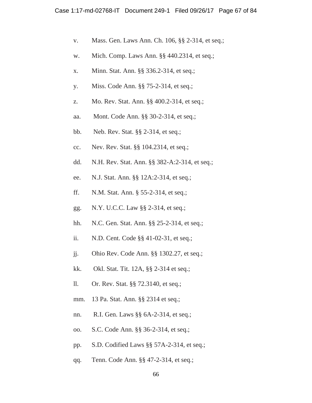- v. Mass. Gen. Laws Ann. Ch. 106, §§ 2-314, et seq.;
- w. Mich. Comp. Laws Ann. §§ 440.2314, et seq.;
- x. Minn. Stat. Ann. §§ 336.2-314, et seq.;
- y. Miss. Code Ann. §§ 75-2-314, et seq.;
- z. Mo. Rev. Stat. Ann. §§ 400.2-314, et seq.;
- aa. Mont. Code Ann. §§ 30-2-314, et seq.;
- bb. Neb. Rev. Stat. §§ 2-314, et seq.;
- cc. Nev. Rev. Stat. §§ 104.2314, et seq.;
- dd. N.H. Rev. Stat. Ann. §§ 382-A:2-314, et seq.;
- ee. N.J. Stat. Ann. §§ 12A:2-314, et seq.;
- ff. N.M. Stat. Ann. § 55-2-314, et seq.;
- gg. N.Y. U.C.C. Law §§ 2-314, et seq.;
- hh. N.C. Gen. Stat. Ann. §§ 25-2-314, et seq.;
- ii. N.D. Cent. Code §§ 41-02-31, et seq.;
- jj. Ohio Rev. Code Ann. §§ 1302.27, et seq.;
- kk. Okl. Stat. Tit. 12A, §§ 2-314 et seq.;
- ll. Or. Rev. Stat. §§ 72.3140, et seq.;
- mm. 13 Pa. Stat. Ann. §§ 2314 et seq.;
- nn. R.I. Gen. Laws §§ 6A-2-314, et seq.;
- oo. S.C. Code Ann. §§ 36-2-314, et seq.;
- pp. S.D. Codified Laws §§ 57A-2-314, et seq.;
- qq. Tenn. Code Ann. §§ 47-2-314, et seq.;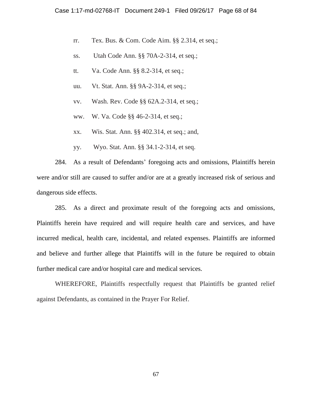- rr. Tex. Bus. & Com. Code Aim. §§ 2.314, et seq.;
- ss. Utah Code Ann. §§ 70A-2-314, et seq.;
- tt. Va. Code Ann. §§ 8.2-314, et seq.;
- uu. Vt. Stat. Ann. §§ 9A-2-314, et seq.;
- vv. Wash. Rev. Code §§ 62A.2-314, et seq.;
- ww. W. Va. Code §§ 46-2-314, et seq.;
- xx. Wis. Stat. Ann. §§ 402.314, et seq.; and,
- yy. Wyo. Stat. Ann. §§ 34.1-2-314, et seq.

284. As a result of Defendants' foregoing acts and omissions, Plaintiffs herein were and/or still are caused to suffer and/or are at a greatly increased risk of serious and dangerous side effects.

285. As a direct and proximate result of the foregoing acts and omissions, Plaintiffs herein have required and will require health care and services, and have incurred medical, health care, incidental, and related expenses. Plaintiffs are informed and believe and further allege that Plaintiffs will in the future be required to obtain further medical care and/or hospital care and medical services.

WHEREFORE, Plaintiffs respectfully request that Plaintiffs be granted relief against Defendants, as contained in the Prayer For Relief.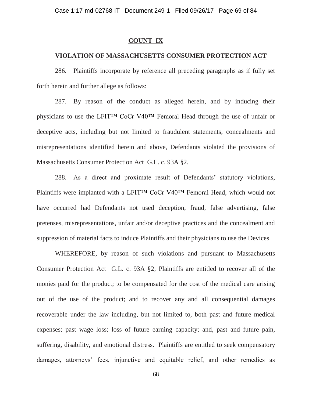### **COUNT IX**

## **VIOLATION OF MASSACHUSETTS CONSUMER PROTECTION ACT**

286. Plaintiffs incorporate by reference all preceding paragraphs as if fully set forth herein and further allege as follows:

287. By reason of the conduct as alleged herein, and by inducing their physicians to use the LFIT™ CoCr V40™ Femoral Head through the use of unfair or deceptive acts, including but not limited to fraudulent statements, concealments and misrepresentations identified herein and above, Defendants violated the provisions of Massachusetts Consumer Protection Act G.L. c. 93A §2.

288. As a direct and proximate result of Defendants' statutory violations, Plaintiffs were implanted with a LFIT<sup>™</sup> CoCr V40<sup>™</sup> Femoral Head, which would not have occurred had Defendants not used deception, fraud, false advertising, false pretenses, misrepresentations, unfair and/or deceptive practices and the concealment and suppression of material facts to induce Plaintiffs and their physicians to use the Devices.

WHEREFORE, by reason of such violations and pursuant to Massachusetts Consumer Protection Act G.L. c. 93A §2, Plaintiffs are entitled to recover all of the monies paid for the product; to be compensated for the cost of the medical care arising out of the use of the product; and to recover any and all consequential damages recoverable under the law including, but not limited to, both past and future medical expenses; past wage loss; loss of future earning capacity; and, past and future pain, suffering, disability, and emotional distress. Plaintiffs are entitled to seek compensatory damages, attorneys' fees, injunctive and equitable relief, and other remedies as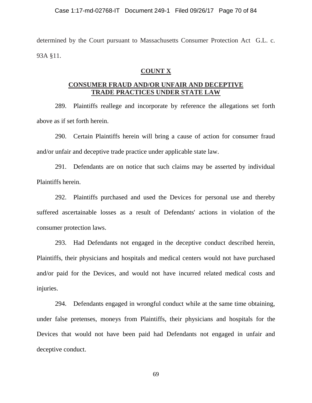determined by the Court pursuant to Massachusetts Consumer Protection Act G.L. c. 93A §11.

# **COUNT X**

# **CONSUMER FRAUD AND/OR UNFAIR AND DECEPTIVE TRADE PRACTICES UNDER STATE LAW**

289. Plaintiffs reallege and incorporate by reference the allegations set forth above as if set forth herein.

290. Certain Plaintiffs herein will bring a cause of action for consumer fraud and/or unfair and deceptive trade practice under applicable state law.

291. Defendants are on notice that such claims may be asserted by individual Plaintiffs herein.

292. Plaintiffs purchased and used the Devices for personal use and thereby suffered ascertainable losses as a result of Defendants' actions in violation of the consumer protection laws.

293. Had Defendants not engaged in the deceptive conduct described herein, Plaintiffs, their physicians and hospitals and medical centers would not have purchased and/or paid for the Devices, and would not have incurred related medical costs and injuries.

294. Defendants engaged in wrongful conduct while at the same time obtaining, under false pretenses, moneys from Plaintiffs, their physicians and hospitals for the Devices that would not have been paid had Defendants not engaged in unfair and deceptive conduct.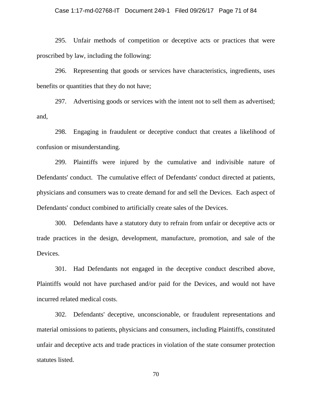### Case 1:17-md-02768-IT Document 249-1 Filed 09/26/17 Page 71 of 84

295. Unfair methods of competition or deceptive acts or practices that were proscribed by law, including the following:

296. Representing that goods or services have characteristics, ingredients, uses benefits or quantities that they do not have;

297. Advertising goods or services with the intent not to sell them as advertised; and,

298. Engaging in fraudulent or deceptive conduct that creates a likelihood of confusion or misunderstanding.

299. Plaintiffs were injured by the cumulative and indivisible nature of Defendants' conduct. The cumulative effect of Defendants' conduct directed at patients, physicians and consumers was to create demand for and sell the Devices. Each aspect of Defendants' conduct combined to artificially create sales of the Devices.

300. Defendants have a statutory duty to refrain from unfair or deceptive acts or trade practices in the design, development, manufacture, promotion, and sale of the Devices.

301. Had Defendants not engaged in the deceptive conduct described above, Plaintiffs would not have purchased and/or paid for the Devices, and would not have incurred related medical costs.

302. Defendants' deceptive, unconscionable, or fraudulent representations and material omissions to patients, physicians and consumers, including Plaintiffs, constituted unfair and deceptive acts and trade practices in violation of the state consumer protection statutes listed.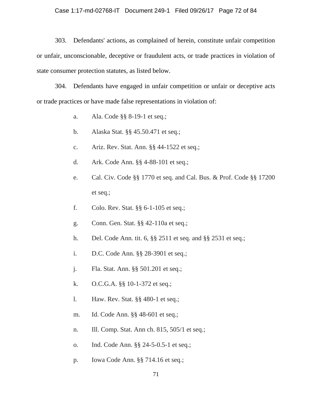### Case 1:17-md-02768-IT Document 249-1 Filed 09/26/17 Page 72 of 84

303. Defendants' actions, as complained of herein, constitute unfair competition or unfair, unconscionable, deceptive or fraudulent acts, or trade practices in violation of state consumer protection statutes, as listed below.

304. Defendants have engaged in unfair competition or unfair or deceptive acts or trade practices or have made false representations in violation of:

- a. Ala. Code §§ 8-19-1 et seq.;
- b. Alaska Stat. §§ 45.50.471 et seq.;
- c. Ariz. Rev. Stat. Ann. §§ 44-1522 et seq.;
- d. Ark. Code Ann. §§ 4-88-101 et seq.;
- e. Cal. Civ. Code §§ 1770 et seq. and Cal. Bus. & Prof. Code §§ 17200 et seq.;
- f. Colo. Rev. Stat. §§ 6-1-105 et seq.;
- g. Conn. Gen. Stat. §§ 42-110a et seq.;
- h. Del. Code Ann. tit. 6, §§ 2511 et seq. and §§ 2531 et seq.;
- i. D.C. Code Ann. §§ 28-3901 et seq.;
- j. Fla. Stat. Ann. §§ 501.201 et seq.;
- k. O.C.G.A. §§ 10-1-372 et seq.;
- l. Haw. Rev. Stat. §§ 480-1 et seq.;
- m. Id. Code Ann. §§ 48-601 et seq.;
- n. Ill. Comp. Stat. Ann ch. 815, 505/1 et seq.;
- o. Ind. Code Ann. §§ 24-5-0.5-1 et seq.;
- p. Iowa Code Ann. §§ 714.16 et seq.;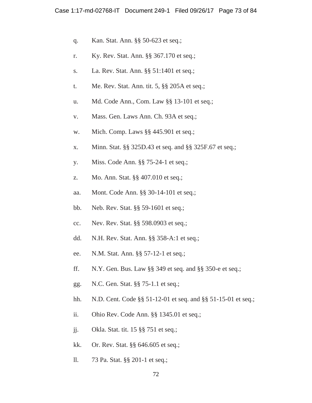- q. Kan. Stat. Ann. §§ 50-623 et seq.;
- r. Ky. Rev. Stat. Ann. §§ 367.170 et seq.;
- s. La. Rev. Stat. Ann. §§ 51:1401 et seq.;
- t. Me. Rev. Stat. Ann. tit. 5, §§ 205A et seq.;
- u. Md. Code Ann., Com. Law §§ 13-101 et seq.;
- v. Mass. Gen. Laws Ann. Ch. 93A et seq.;
- w. Mich. Comp. Laws §§ 445.901 et seq.;
- x. Minn. Stat. §§ 325D.43 et seq. and §§ 325F.67 et seq.;
- y. Miss. Code Ann. §§ 75-24-1 et seq.;
- z. Mo. Ann. Stat. §§ 407.010 et seq.;
- aa. Mont. Code Ann. §§ 30-14-101 et seq.;
- bb. Neb. Rev. Stat. §§ 59-1601 et seq.;
- cc. Nev. Rev. Stat. §§ 598.0903 et seq.;
- dd. N.H. Rev. Stat. Ann. §§ 358-A:1 et seq.;
- ee. N.M. Stat. Ann. §§ 57-12-1 et seq.;
- ff. N.Y. Gen. Bus. Law §§ 349 et seq. and §§ 350-e et seq.;
- gg. N.C. Gen. Stat. §§ 75-1.1 et seq.;
- hh. N.D. Cent. Code §§ 51-12-01 et seq. and §§ 51-15-01 et seq.;
- ii. Ohio Rev. Code Ann. §§ 1345.01 et seq.;
- jj. Okla. Stat. tit. 15 §§ 751 et seq.;
- kk. Or. Rev. Stat. §§ 646.605 et seq.;
- ll. 73 Pa. Stat. §§ 201-1 et seq.;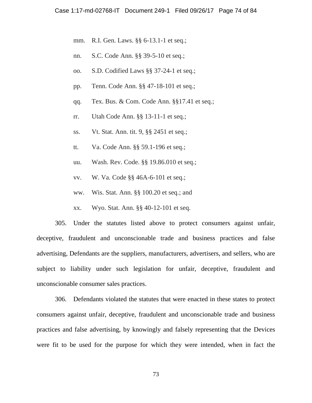- mm. R.I. Gen. Laws. §§ 6-13.1-1 et seq.;
- nn. S.C. Code Ann. §§ 39-5-10 et seq.;
- oo. S.D. Codified Laws §§ 37-24-1 et seq.;
- pp. Tenn. Code Ann. §§ 47-18-101 et seq.;
- qq. Tex. Bus. & Com. Code Ann. §§17.41 et seq.;
- rr. Utah Code Ann. §§ 13-11-1 et seq.;
- ss. Vt. Stat. Ann. tit. 9, §§ 2451 et seq.;
- tt. Va. Code Ann. §§ 59.1-196 et seq.;
- uu. Wash. Rev. Code. §§ 19.86.010 et seq.;
- vv. W. Va. Code §§ 46A-6-101 et seq.;
- ww. Wis. Stat. Ann. §§ 100.20 et seq.; and
- xx. Wyo. Stat. Ann. §§ 40-12-101 et seq.

305. Under the statutes listed above to protect consumers against unfair, deceptive, fraudulent and unconscionable trade and business practices and false advertising, Defendants are the suppliers, manufacturers, advertisers, and sellers, who are subject to liability under such legislation for unfair, deceptive, fraudulent and unconscionable consumer sales practices.

306. Defendants violated the statutes that were enacted in these states to protect consumers against unfair, deceptive, fraudulent and unconscionable trade and business practices and false advertising, by knowingly and falsely representing that the Devices were fit to be used for the purpose for which they were intended, when in fact the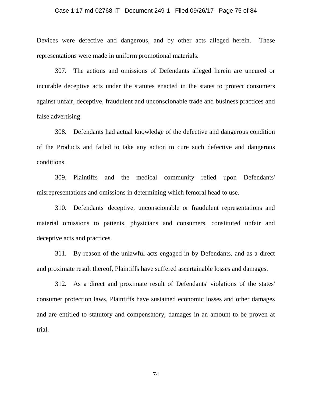#### Case 1:17-md-02768-IT Document 249-1 Filed 09/26/17 Page 75 of 84

Devices were defective and dangerous, and by other acts alleged herein. These representations were made in uniform promotional materials.

307. The actions and omissions of Defendants alleged herein are uncured or incurable deceptive acts under the statutes enacted in the states to protect consumers against unfair, deceptive, fraudulent and unconscionable trade and business practices and false advertising.

308. Defendants had actual knowledge of the defective and dangerous condition of the Products and failed to take any action to cure such defective and dangerous conditions.

309. Plaintiffs and the medical community relied upon Defendants' misrepresentations and omissions in determining which femoral head to use.

310. Defendants' deceptive, unconscionable or fraudulent representations and material omissions to patients, physicians and consumers, constituted unfair and deceptive acts and practices.

311. By reason of the unlawful acts engaged in by Defendants, and as a direct and proximate result thereof, Plaintiffs have suffered ascertainable losses and damages.

312. As a direct and proximate result of Defendants' violations of the states' consumer protection laws, Plaintiffs have sustained economic losses and other damages and are entitled to statutory and compensatory, damages in an amount to be proven at trial.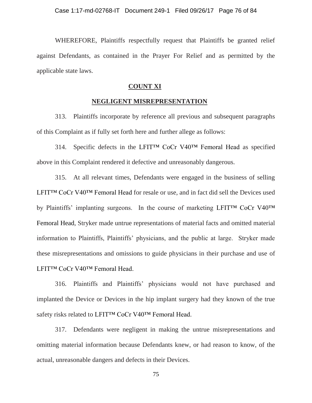WHEREFORE, Plaintiffs respectfully request that Plaintiffs be granted relief against Defendants, as contained in the Prayer For Relief and as permitted by the applicable state laws.

## **COUNT XI**

## **NEGLIGENT MISREPRESENTATION**

313. Plaintiffs incorporate by reference all previous and subsequent paragraphs of this Complaint as if fully set forth here and further allege as follows:

314. Specific defects in the LFIT™ CoCr V40™ Femoral Head as specified above in this Complaint rendered it defective and unreasonably dangerous.

315. At all relevant times, Defendants were engaged in the business of selling LFIT™ CoCr V40™ Femoral Head for resale or use, and in fact did sell the Devices used by Plaintiffs' implanting surgeons. In the course of marketing LFIT™ CoCr V40™ Femoral Head, Stryker made untrue representations of material facts and omitted material information to Plaintiffs, Plaintiffs' physicians, and the public at large. Stryker made these misrepresentations and omissions to guide physicians in their purchase and use of LFIT™ CoCr V40™ Femoral Head.

316. Plaintiffs and Plaintiffs' physicians would not have purchased and implanted the Device or Devices in the hip implant surgery had they known of the true safety risks related to LFIT™ CoCr V40<sup>™</sup> Femoral Head.

317. Defendants were negligent in making the untrue misrepresentations and omitting material information because Defendants knew, or had reason to know, of the actual, unreasonable dangers and defects in their Devices.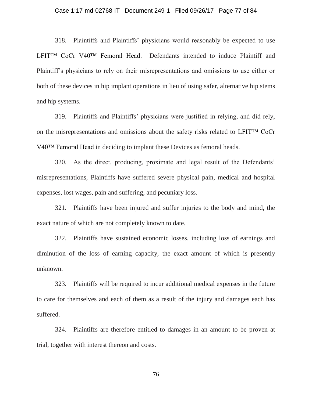#### Case 1:17-md-02768-IT Document 249-1 Filed 09/26/17 Page 77 of 84

318. Plaintiffs and Plaintiffs' physicians would reasonably be expected to use LFIT™ CoCr V40™ Femoral Head. Defendants intended to induce Plaintiff and Plaintiff's physicians to rely on their misrepresentations and omissions to use either or both of these devices in hip implant operations in lieu of using safer, alternative hip stems and hip systems.

319. Plaintiffs and Plaintiffs' physicians were justified in relying, and did rely, on the misrepresentations and omissions about the safety risks related to LFIT™ CoCr V40™ Femoral Head in deciding to implant these Devices as femoral heads.

320. As the direct, producing, proximate and legal result of the Defendants' misrepresentations, Plaintiffs have suffered severe physical pain, medical and hospital expenses, lost wages, pain and suffering, and pecuniary loss.

321. Plaintiffs have been injured and suffer injuries to the body and mind, the exact nature of which are not completely known to date.

322. Plaintiffs have sustained economic losses, including loss of earnings and diminution of the loss of earning capacity, the exact amount of which is presently unknown.

323. Plaintiffs will be required to incur additional medical expenses in the future to care for themselves and each of them as a result of the injury and damages each has suffered.

324. Plaintiffs are therefore entitled to damages in an amount to be proven at trial, together with interest thereon and costs.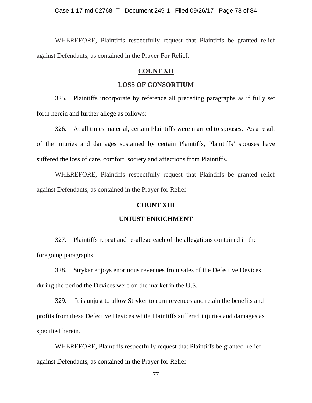WHEREFORE, Plaintiffs respectfully request that Plaintiffs be granted relief against Defendants, as contained in the Prayer For Relief.

## **COUNT XII**

## **LOSS OF CONSORTIUM**

325. Plaintiffs incorporate by reference all preceding paragraphs as if fully set forth herein and further allege as follows:

326. At all times material, certain Plaintiffs were married to spouses. As a result of the injuries and damages sustained by certain Plaintiffs, Plaintiffs' spouses have suffered the loss of care, comfort, society and affections from Plaintiffs.

WHEREFORE, Plaintiffs respectfully request that Plaintiffs be granted relief against Defendants, as contained in the Prayer for Relief.

## **COUNT XIII**

#### **UNJUST ENRICHMENT**

327. Plaintiffs repeat and re-allege each of the allegations contained in the foregoing paragraphs.

328. Stryker enjoys enormous revenues from sales of the Defective Devices during the period the Devices were on the market in the U.S.

329. It is unjust to allow Stryker to earn revenues and retain the benefits and profits from these Defective Devices while Plaintiffs suffered injuries and damages as specified herein.

WHEREFORE, Plaintiffs respectfully request that Plaintiffs be granted relief against Defendants, as contained in the Prayer for Relief.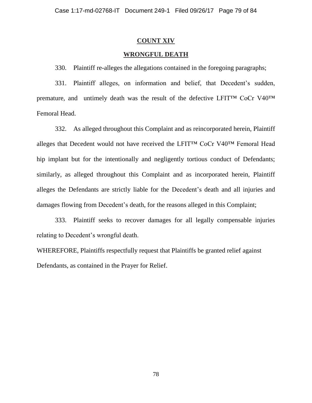## **COUNT XIV**

## **WRONGFUL DEATH**

330. Plaintiff re-alleges the allegations contained in the foregoing paragraphs;

331. Plaintiff alleges, on information and belief, that Decedent's sudden, premature, and untimely death was the result of the defective LFIT™ CoCr V40™ Femoral Head.

332. As alleged throughout this Complaint and as reincorporated herein, Plaintiff alleges that Decedent would not have received the LFIT™ CoCr V40™ Femoral Head hip implant but for the intentionally and negligently tortious conduct of Defendants; similarly, as alleged throughout this Complaint and as incorporated herein, Plaintiff alleges the Defendants are strictly liable for the Decedent's death and all injuries and damages flowing from Decedent's death, for the reasons alleged in this Complaint;

333. Plaintiff seeks to recover damages for all legally compensable injuries relating to Decedent's wrongful death.

WHEREFORE, Plaintiffs respectfully request that Plaintiffs be granted relief against Defendants, as contained in the Prayer for Relief.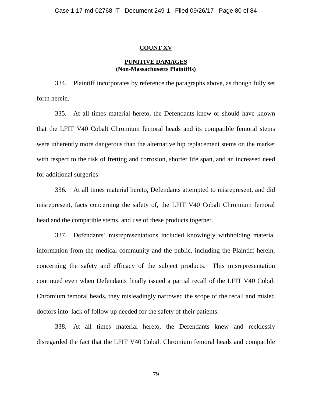### **COUNT XV**

## **PUNITIVE DAMAGES (Non-Massachusetts Plaintiffs)**

334. Plaintiff incorporates by reference the paragraphs above, as though fully set forth herein.

335. At all times material hereto, the Defendants knew or should have known that the LFIT V40 Cobalt Chromium femoral heads and its compatible femoral stems were inherently more dangerous than the alternative hip replacement stems on the market with respect to the risk of fretting and corrosion, shorter life span, and an increased need for additional surgeries.

336. At all times material hereto, Defendants attempted to misrepresent, and did misrepresent, facts concerning the safety of, the LFIT V40 Cobalt Chromium femoral head and the compatible stems, and use of these products together.

337. Defendants' misrepresentations included knowingly withholding material information from the medical community and the public, including the Plaintiff herein, concerning the safety and efficacy of the subject products. This misrepresentation continued even when Defendants finally issued a partial recall of the LFIT V40 Cobalt Chromium femoral heads, they misleadingly narrowed the scope of the recall and misled doctors into lack of follow up needed for the safety of their patients.

338. At all times material hereto, the Defendants knew and recklessly disregarded the fact that the LFIT V40 Cobalt Chromium femoral heads and compatible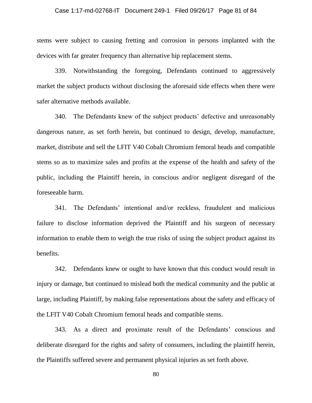#### Case 1:17-md-02768-IT Document 249-1 Filed 09/26/17 Page 81 of 84

stems were subject to causing fretting and corrosion in persons implanted with the devices with far greater frequency than alternative hip replacement stems.

339. Notwithstanding the foregoing, Defendants continued to aggressively market the subject products without disclosing the aforesaid side effects when there were safer alternative methods available.

340. The Defendants knew of the subject products' defective and unreasonably dangerous nature, as set forth herein, but continued to design, develop, manufacture, market, distribute and sell the LFIT V40 Cobalt Chromium femoral heads and compatible stems so as to maximize sales and profits at the expense of the health and safety of the public, including the Plaintiff herein, in conscious and/or negligent disregard of the foreseeable harm.

341. The Defendants' intentional and/or reckless, fraudulent and malicious failure to disclose information deprived the Plaintiff and his surgeon of necessary information to enable them to weigh the true risks of using the subject product against its benefits.

342. Defendants knew or ought to have known that this conduct would result in injury or damage, but continued to mislead both the medical community and the public at large, including Plaintiff, by making false representations about the safety and efficacy of the LFIT V40 Cobalt Chromium femoral heads and compatible stems.

343. As a direct and proximate result of the Defendants' conscious and deliberate disregard for the rights and safety of consumers, including the plaintiff herein, the Plaintiffs suffered severe and permanent physical injuries as set forth above.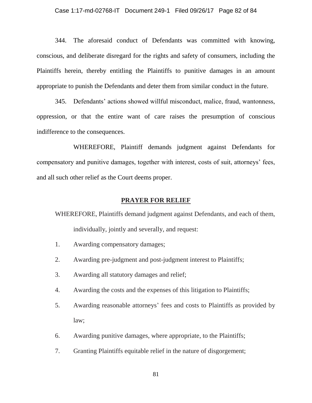344. The aforesaid conduct of Defendants was committed with knowing, conscious, and deliberate disregard for the rights and safety of consumers, including the Plaintiffs herein, thereby entitling the Plaintiffs to punitive damages in an amount appropriate to punish the Defendants and deter them from similar conduct in the future.

345. Defendants' actions showed willful misconduct, malice, fraud, wantonness, oppression, or that the entire want of care raises the presumption of conscious indifference to the consequences.

WHEREFORE, Plaintiff demands judgment against Defendants for compensatory and punitive damages, together with interest, costs of suit, attorneys' fees, and all such other relief as the Court deems proper.

## **PRAYER FOR RELIEF**

WHEREFORE, Plaintiffs demand judgment against Defendants, and each of them, individually, jointly and severally, and request:

- 1. Awarding compensatory damages;
- 2. Awarding pre-judgment and post-judgment interest to Plaintiffs;
- 3. Awarding all statutory damages and relief;
- 4. Awarding the costs and the expenses of this litigation to Plaintiffs;
- 5. Awarding reasonable attorneys' fees and costs to Plaintiffs as provided by law;
- 6. Awarding punitive damages, where appropriate, to the Plaintiffs;
- 7. Granting Plaintiffs equitable relief in the nature of disgorgement;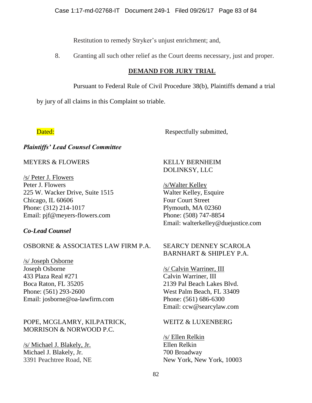Restitution to remedy Stryker's unjust enrichment; and,

8. Granting all such other relief as the Court deems necessary, just and proper.

# **DEMAND FOR JURY TRIAL**

Pursuant to Federal Rule of Civil Procedure 38(b), Plaintiffs demand a trial

by jury of all claims in this Complaint so triable.

Dated: Respectfully submitted,

# *Plaintiffs' Lead Counsel Committee*

MEYERS & FLOWERS

/s/ Peter J. Flowers Peter J. Flowers 225 W. Wacker Drive, Suite 1515 Chicago, IL 60606 Phone: (312) 214-1017 Email: pjf@meyers-flowers.com

# *Co-Lead Counsel*

# OSBORNE & ASSOCIATES LAW FIRM P.A.

/s/ Joseph Osborne Joseph Osborne 433 Plaza Real #271 Boca Raton, FL 35205 Phone: (561) 293-2600 Email: josborne@oa-lawfirm.com

POPE, MCGLAMRY, KILPATRICK, MORRISON & NORWOOD P.C.

/s/ Michael J. Blakely, Jr. Michael J. Blakely, Jr. 3391 Peachtree Road, NE

# KELLY BERNHEIM DOLINKSY, LLC

/s/Walter Kelley Walter Kelley, Esquire Four Court Street Plymouth, MA 02360 Phone: (508) 747-8854 Email: walterkelley@duejustice.com

# SEARCY DENNEY SCAROLA BARNHART & SHIPLEY P.A.

/s/ Calvin Warriner, III Calvin Warriner, III 2139 Pal Beach Lakes Blvd. West Palm Beach, FL 33409 Phone: (561) 686-6300 Email: ccw@searcylaw.com

# WEITZ & LUXENBERG

/s/ Ellen Relkin Ellen Relkin 700 Broadway New York, New York, 10003